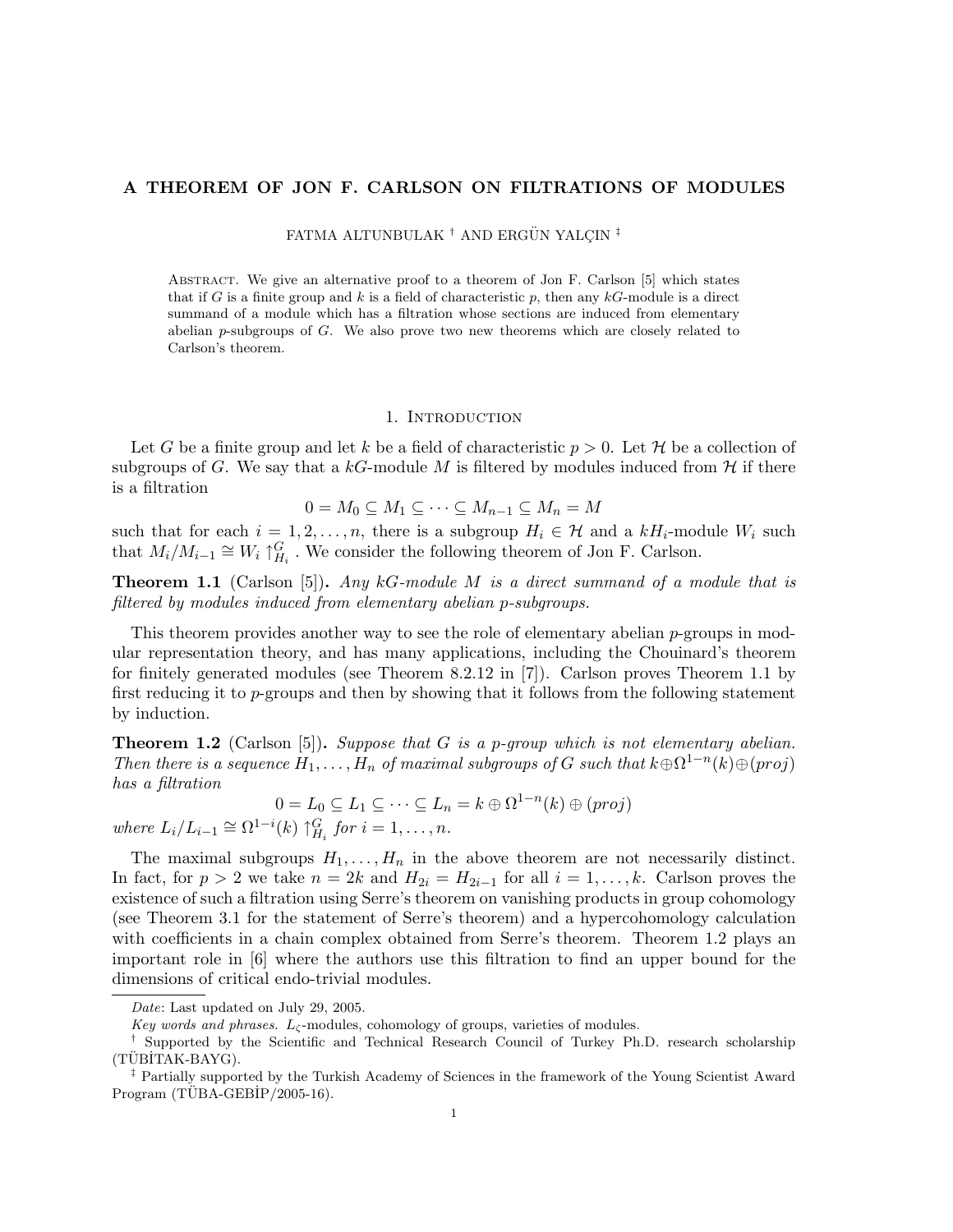## A THEOREM OF JON F. CARLSON ON FILTRATIONS OF MODULES

FATMA ALTUNBULAK<sup>†</sup> AND ERGÜN YALÇIN<sup>‡</sup>

Abstract. We give an alternative proof to a theorem of Jon F. Carlson [5] which states that if G is a finite group and k is a field of characteristic  $p$ , then any  $kG$ -module is a direct summand of a module which has a filtration whose sections are induced from elementary abelian p-subgroups of G. We also prove two new theorems which are closely related to Carlson's theorem.

### 1. INTRODUCTION

Let G be a finite group and let k be a field of characteristic  $p > 0$ . Let H be a collection of subgroups of G. We say that a kG-module M is filtered by modules induced from  $\mathcal H$  if there is a filtration

$$
0 = M_0 \subseteq M_1 \subseteq \cdots \subseteq M_{n-1} \subseteq M_n = M
$$

such that for each  $i = 1, 2, ..., n$ , there is a subgroup  $H_i \in \mathcal{H}$  and a  $kH_i$ -module  $W_i$  such that  $M_i/M_{i-1} \cong W_i \uparrow_{H_i}^G$ . We consider the following theorem of Jon F. Carlson.

**Theorem 1.1** (Carlson [5]). Any  $kG$ -module M is a direct summand of a module that is filtered by modules induced from elementary abelian p-subgroups.

This theorem provides another way to see the role of elementary abelian  $p$ -groups in modular representation theory, and has many applications, including the Chouinard's theorem for finitely generated modules (see Theorem 8.2.12 in [7]). Carlson proves Theorem 1.1 by first reducing it to p-groups and then by showing that it follows from the following statement by induction.

**Theorem 1.2** (Carlson [5]). Suppose that G is a p-group which is not elementary abelian. Then there is a sequence  $H_1, \ldots, H_n$  of maximal subgroups of G such that  $k \oplus \Omega^{1-n}(k) \oplus (proj)$ has a filtration

$$
0 = L_0 \subseteq L_1 \subseteq \cdots \subseteq L_n = k \oplus \Omega^{1-n}(k) \oplus (proj)
$$

where  $L_i/L_{i-1} \cong \Omega^{1-i}(k) \uparrow_{H_i}^G$  for  $i = 1, \ldots, n$ .

The maximal subgroups  $H_1, \ldots, H_n$  in the above theorem are not necessarily distinct. In fact, for  $p > 2$  we take  $n = 2k$  and  $H_{2i} = H_{2i-1}$  for all  $i = 1, ..., k$ . Carlson proves the existence of such a filtration using Serre's theorem on vanishing products in group cohomology (see Theorem 3.1 for the statement of Serre's theorem) and a hypercohomology calculation with coefficients in a chain complex obtained from Serre's theorem. Theorem 1.2 plays an important role in [6] where the authors use this filtration to find an upper bound for the dimensions of critical endo-trivial modules.

Date: Last updated on July 29, 2005.

Key words and phrases.  $L_{\zeta}$ -modules, cohomology of groups, varieties of modules.

<sup>†</sup> Supported by the Scientific and Technical Research Council of Turkey Ph.D. research scholarship  $(TÜBITAK-BAYG).$ 

<sup>‡</sup> Partially supported by the Turkish Academy of Sciences in the framework of the Young Scientist Award  $Program (TÜBA-GEBIP/2005-16).$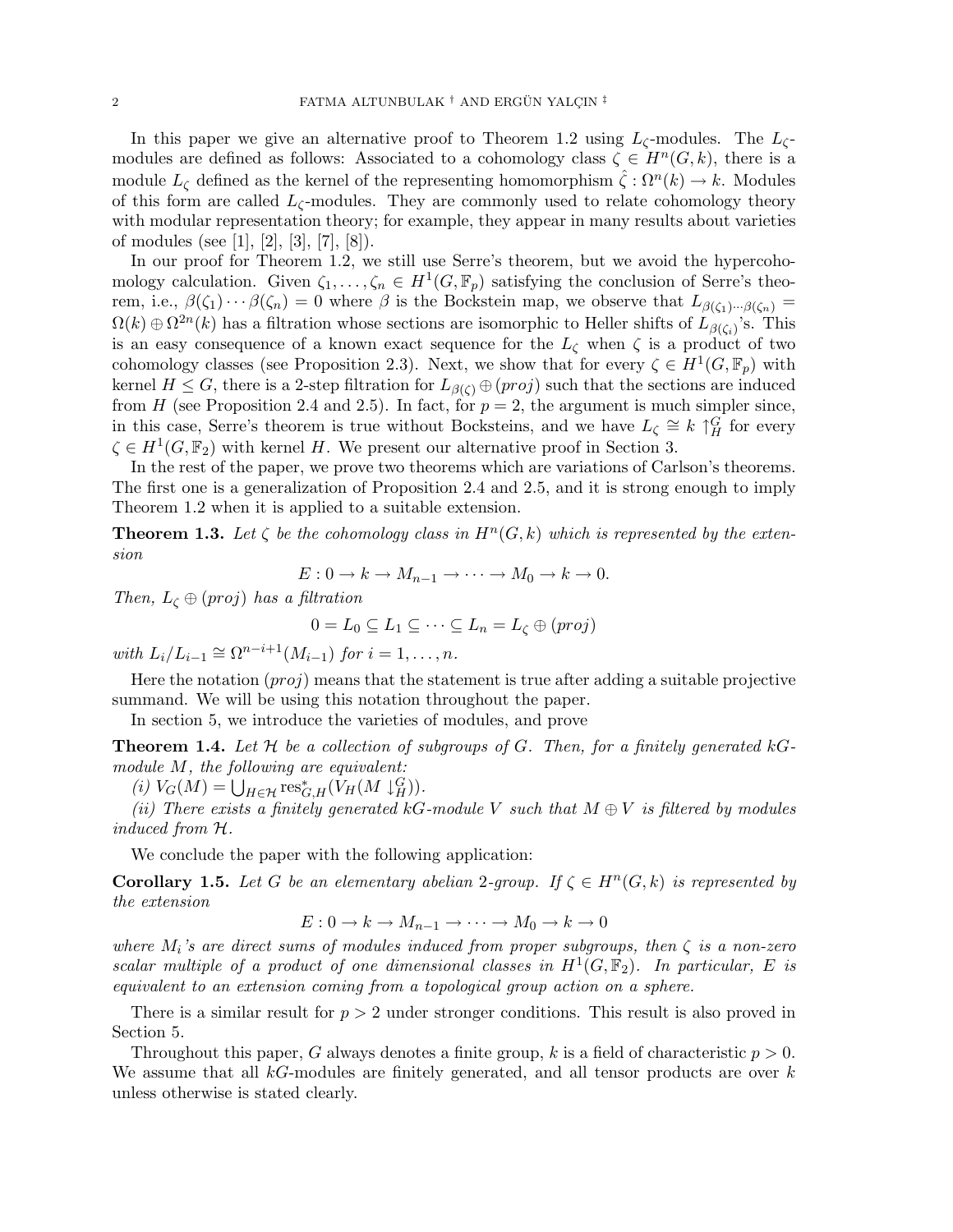In this paper we give an alternative proof to Theorem 1.2 using  $L_{\zeta}$ -modules. The  $L_{\zeta}$ modules are defined as follows: Associated to a cohomology class  $\zeta \in H^n(G,k)$ , there is a module  $L_{\zeta}$  defined as the kernel of the representing homomorphism  $\hat{\zeta}: \Omega^n(k) \to k$ . Modules of this form are called  $L_{\zeta}$ -modules. They are commonly used to relate cohomology theory with modular representation theory; for example, they appear in many results about varieties of modules (see [1], [2], [3], [7], [8]).

In our proof for Theorem 1.2, we still use Serre's theorem, but we avoid the hypercohomology calculation. Given  $\zeta_1, \ldots, \zeta_n \in H^1(G, \mathbb{F}_p)$  satisfying the conclusion of Serre's theorem, i.e.,  $\beta(\zeta_1)\cdots\beta(\zeta_n)=0$  where  $\beta$  is the Bockstein map, we observe that  $L_{\beta(\zeta_1)\cdots\beta(\zeta_n)}=$  $\Omega(k) \oplus \Omega^{2n}(k)$  has a filtration whose sections are isomorphic to Heller shifts of  $L_{\beta(\zeta_i)}$ 's. This is an easy consequence of a known exact sequence for the  $L_{\zeta}$  when  $\zeta$  is a product of two cohomology classes (see Proposition 2.3). Next, we show that for every  $\zeta \in H^1(G,\mathbb{F}_p)$  with kernel  $H \leq G$ , there is a 2-step filtration for  $L_{\beta(\zeta)} \oplus (proj)$  such that the sections are induced from H (see Proposition 2.4 and 2.5). In fact, for  $p = 2$ , the argument is much simpler since, in this case, Serre's theorem is true without Bocksteins, and we have  $L_{\zeta} \cong k \uparrow^G_H$  for every  $\zeta \in H^1(G, \mathbb{F}_2)$  with kernel H. We present our alternative proof in Section 3.

In the rest of the paper, we prove two theorems which are variations of Carlson's theorems. The first one is a generalization of Proposition 2.4 and 2.5, and it is strong enough to imply Theorem 1.2 when it is applied to a suitable extension.

**Theorem 1.3.** Let  $\zeta$  be the cohomology class in  $H^n(G,k)$  which is represented by the extension

$$
E: 0 \to k \to M_{n-1} \to \cdots \to M_0 \to k \to 0.
$$

Then,  $L_{\zeta} \oplus (proj)$  has a filtration

$$
0 = L_0 \subseteq L_1 \subseteq \cdots \subseteq L_n = L_\zeta \oplus (proj)
$$

with  $L_i/L_{i-1} \cong \Omega^{n-i+1}(M_{i-1})$  for  $i = 1, \ldots, n$ .

Here the notation  $(proj)$  means that the statement is true after adding a suitable projective summand. We will be using this notation throughout the paper.

In section 5, we introduce the varieties of modules, and prove

**Theorem 1.4.** Let  $\mathcal H$  be a collection of subgroups of G. Then, for a finitely generated kGmodule  $M$ , the following are equivalent:

battle M, the following are equivalent:<br>
(i)  $V_G(M) = \bigcup_{H \in \mathcal{H}} \operatorname{res}^*_{G,H}(V_H(M \downarrow_H^G)).$ 

(ii) There exists a finitely generated kG-module V such that  $M \oplus V$  is filtered by modules induced from H.

We conclude the paper with the following application:

**Corollary 1.5.** Let G be an elementary abelian 2-group. If  $\zeta \in H^{n}(G,k)$  is represented by the extension

$$
E: 0 \to k \to M_{n-1} \to \cdots \to M_0 \to k \to 0
$$

where  $M_i$ 's are direct sums of modules induced from proper subgroups, then  $\zeta$  is a non-zero scalar multiple of a product of one dimensional classes in  $H^1(G, \mathbb{F}_2)$ . In particular, E is equivalent to an extension coming from a topological group action on a sphere.

There is a similar result for  $p > 2$  under stronger conditions. This result is also proved in Section 5.

Throughout this paper, G always denotes a finite group, k is a field of characteristic  $p > 0$ . We assume that all  $kG$ -modules are finitely generated, and all tensor products are over  $k$ unless otherwise is stated clearly.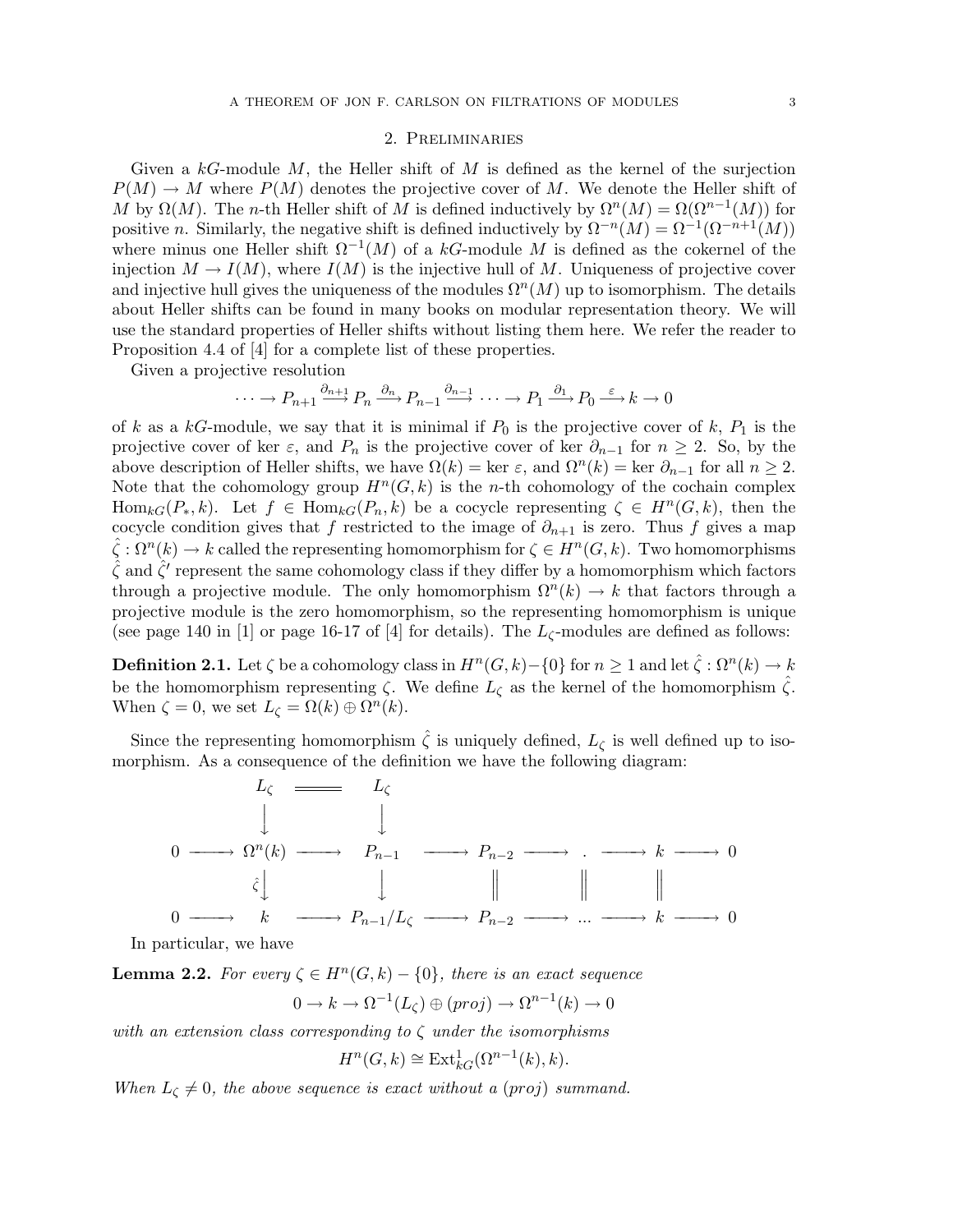## 2. Preliminaries

Given a  $k$ -module M, the Heller shift of M is defined as the kernel of the surjection  $P(M) \to M$  where  $P(M)$  denotes the projective cover of M. We denote the Heller shift of M by  $\Omega(M)$ . The n-th Heller shift of M is defined inductively by  $\Omega^{n}(M) = \Omega(\Omega^{n-1}(M))$  for positive n. Similarly, the negative shift is defined inductively by  $\Omega^{-n}(M) = \Omega^{-1}(\Omega^{-n+1}(M))$ where minus one Heller shift  $\Omega^{-1}(M)$  of a kG-module M is defined as the cokernel of the injection  $M \to I(M)$ , where  $I(M)$  is the injective hull of M. Uniqueness of projective cover and injective hull gives the uniqueness of the modules  $\Omega^{n}(M)$  up to isomorphism. The details about Heller shifts can be found in many books on modular representation theory. We will use the standard properties of Heller shifts without listing them here. We refer the reader to Proposition 4.4 of [4] for a complete list of these properties.

Given a projective resolution

 $\cdots \longrightarrow P_{n+1} \xrightarrow{\partial_{n+1}} P_n \xrightarrow{\partial_n} P_{n-1} \xrightarrow{\partial_{n-1}} \cdots \longrightarrow P_1 \xrightarrow{\partial_1} P_0 \xrightarrow{\varepsilon} k \longrightarrow 0$ 

of k as a kG-module, we say that it is minimal if  $P_0$  is the projective cover of k,  $P_1$  is the projective cover of ker  $\varepsilon$ , and  $P_n$  is the projective cover of ker  $\partial_{n-1}$  for  $n \geq 2$ . So, by the above description of Heller shifts, we have  $\Omega(k) = \text{ker } \varepsilon$ , and  $\Omega^n(k) = \text{ker } \partial_{n-1}$  for all  $n \geq 2$ . Note that the cohomology group  $H^n(G, k)$  is the *n*-th cohomology of the cochain complex  $\text{Hom}_{kG}(P_*, k)$ . Let  $f \in \text{Hom}_{kG}(P_n, k)$  be a cocycle representing  $\zeta \in H^n(G, k)$ , then the cocycle condition gives that f restricted to the image of  $\partial_{n+1}$  is zero. Thus f gives a map  $\hat{\zeta}: \Omega^n(k) \to k$  called the representing homomorphism for  $\zeta \in H^n(G, k)$ . Two homomorphisms  $\hat{\zeta}$  and  $\hat{\zeta}'$  represent the same cohomology class if they differ by a homomorphism which factors through a projective module. The only homomorphism  $\Omega^{n}(k) \to k$  that factors through a projective module is the zero homomorphism, so the representing homomorphism is unique (see page 140 in [1] or page 16-17 of [4] for details). The  $L_{\zeta}$ -modules are defined as follows:

**Definition 2.1.** Let  $\zeta$  be a cohomology class in  $H^n(G,k) - \{0\}$  for  $n \geq 1$  and let  $\hat{\zeta}: \Omega^n(k) \to k$ be the homomorphism representing  $\zeta$ . We define  $L_{\zeta}$  as the kernel of the homomorphism  $\hat{\zeta}$ . When  $\zeta = 0$ , we set  $L_{\zeta} = \Omega(k) \oplus \Omega^{n}(k)$ .

Since the representing homomorphism  $\hat{\zeta}$  is uniquely defined,  $L_{\zeta}$  is well defined up to isomorphism. As a consequence of the definition we have the following diagram:



In particular, we have

**Lemma 2.2.** For every  $\zeta \in H^n(G,k) - \{0\}$ , there is an exact sequence

$$
0 \to k \to \Omega^{-1}(L_{\zeta}) \oplus (proj) \to \Omega^{n-1}(k) \to 0
$$

with an extension class corresponding to  $\zeta$  under the isomorphisms

$$
H^n(G,k) \cong \text{Ext}^1_{kG}(\Omega^{n-1}(k),k).
$$

When  $L_{\zeta} \neq 0$ , the above sequence is exact without a (proj) summand.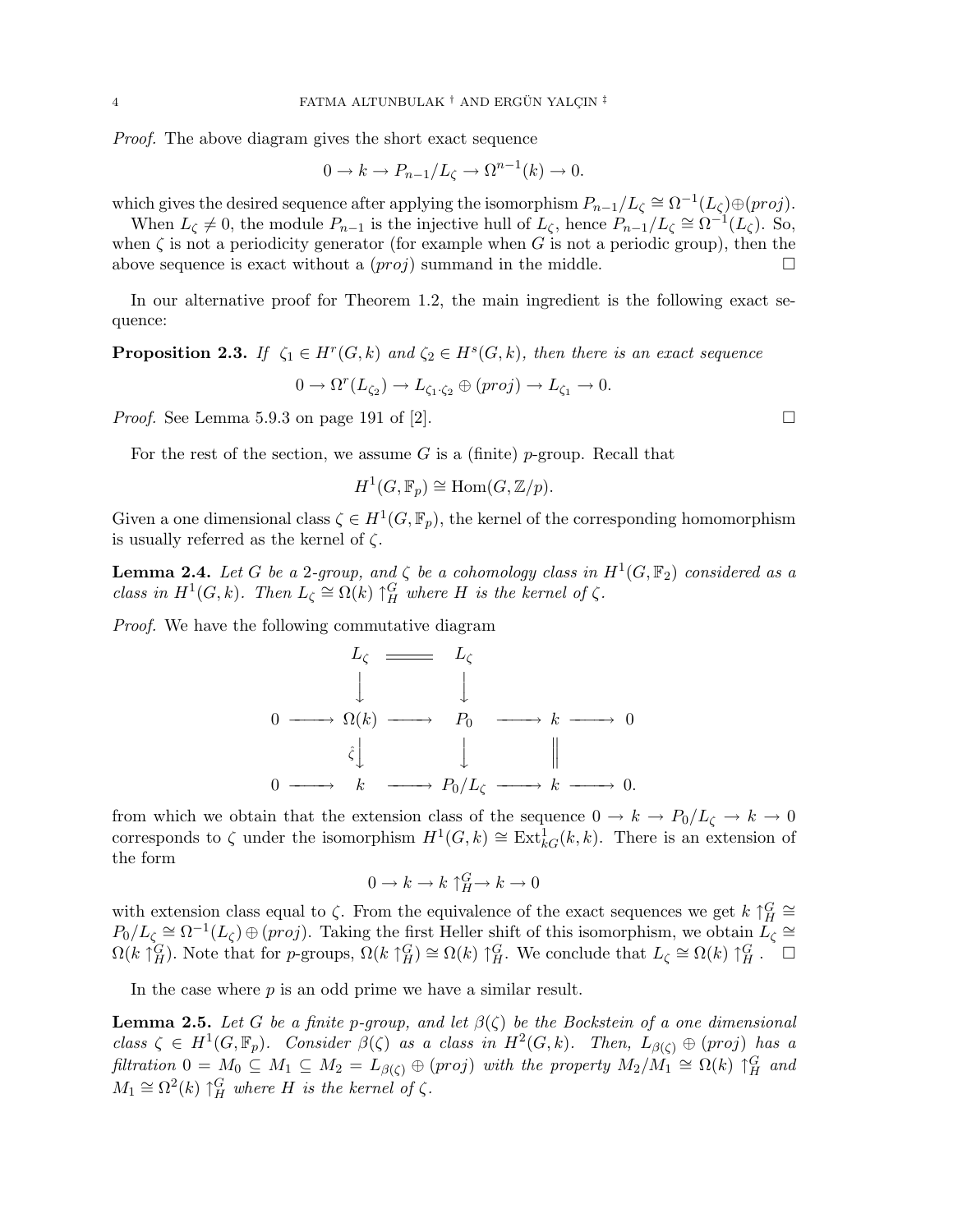Proof. The above diagram gives the short exact sequence

$$
0 \to k \to P_{n-1}/L_{\zeta} \to \Omega^{n-1}(k) \to 0.
$$

which gives the desired sequence after applying the isomorphism  $P_{n-1}/L_\zeta \cong \Omega^{-1}(L_\zeta) \oplus (proj)$ .

When  $L_{\zeta} \neq 0$ , the module  $P_{n-1}$  is the injective hull of  $L_{\zeta}$ , hence  $P_{n-1}/L_{\zeta} \cong \Omega^{-1}(L_{\zeta})$ . So, when  $\zeta$  is not a periodicity generator (for example when G is not a periodic group), then the above sequence is exact without a  $(proj)$  summand in the middle.  $\Box$ 

In our alternative proof for Theorem 1.2, the main ingredient is the following exact sequence:

**Proposition 2.3.** If  $\zeta_1 \in H^r(G,k)$  and  $\zeta_2 \in H^s(G,k)$ , then there is an exact sequence

$$
0 \to \Omega^r(L_{\zeta_2}) \to L_{\zeta_1 \cdot \zeta_2} \oplus (proj) \to L_{\zeta_1} \to 0.
$$

*Proof.* See Lemma 5.9.3 on page 191 of [2].  $\Box$ 

For the rest of the section, we assume G is a (finite) p-group. Recall that

$$
H^1(G, \mathbb{F}_p) \cong \text{Hom}(G, \mathbb{Z}/p).
$$

Given a one dimensional class  $\zeta \in H^1(G, \mathbb{F}_p)$ , the kernel of the corresponding homomorphism is usually referred as the kernel of  $\zeta$ .

**Lemma 2.4.** Let G be a 2-group, and  $\zeta$  be a cohomology class in  $H^1(G,\mathbb{F}_2)$  considered as a class in  $H^1(G,k)$ . Then  $L_{\zeta} \cong \Omega(k) \uparrow^G_H$  where H is the kernel of  $\zeta$ .

Proof. We have the following commutative diagram

$$
L_{\zeta} \longrightarrow L_{\zeta}
$$
\n
$$
\downarrow \qquad \qquad \downarrow
$$
\n
$$
0 \longrightarrow \Omega(k) \longrightarrow P_0 \longrightarrow k \longrightarrow 0
$$
\n
$$
\hat{\zeta} \downarrow \qquad \qquad \downarrow
$$
\n
$$
0 \longrightarrow k \longrightarrow P_0/L_{\zeta} \longrightarrow k \longrightarrow 0.
$$

from which we obtain that the extension class of the sequence  $0 \to k \to P_0/L_{\zeta} \to k \to 0$ corresponds to  $\zeta$  under the isomorphism  $H^1(G,k) \cong Ext^1_{kG}(k,k)$ . There is an extension of the form

$$
0\to k\to k\upharpoonright_H^G\to k\to 0
$$

with extension class equal to  $\zeta$ . From the equivalence of the exact sequences we get  $k \uparrow^G_H \cong$  $P_0/L_\zeta \cong \Omega^{-1}(L_\zeta) \oplus (proj)$ . Taking the first Heller shift of this isomorphism, we obtain  $L_\zeta \cong$  $\Omega(k \uparrow_H^G)$ . Note that for p-groups,  $\Omega(k \uparrow_H^G) \cong \Omega(k) \uparrow_H^G$ . We conclude that  $L_\zeta \cong \Omega(k) \uparrow_H^G$ .

In the case where  $p$  is an odd prime we have a similar result.

**Lemma 2.5.** Let G be a finite p-group, and let  $\beta(\zeta)$  be the Bockstein of a one dimensional class  $\zeta \in H^1(G, \mathbb{F}_p)$ . Consider  $\beta(\zeta)$  as a class in  $H^2(G, k)$ . Then,  $L_{\beta(\zeta)} \oplus (proj)$  has a filtration  $0 = M_0 \subseteq M_1 \subseteq M_2 = L_{\beta(\zeta)} \oplus (proj)$  with the property  $M_2/M_1 \cong \Omega(k)$   $\uparrow^G_H$  and  $M_1 \cong \Omega^2(k) \uparrow^G_H$  where H is the kernel of  $\zeta$ .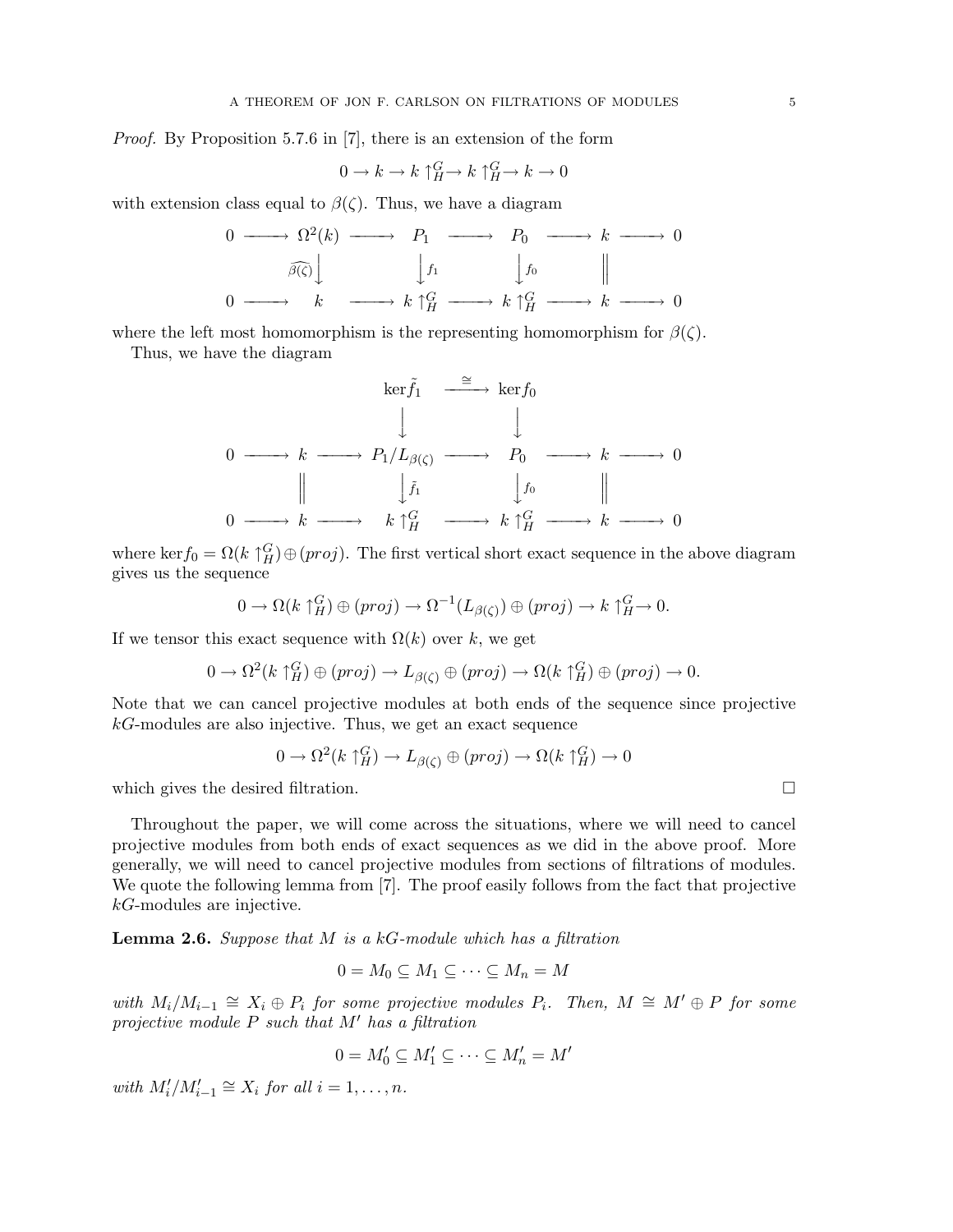Proof. By Proposition 5.7.6 in [7], there is an extension of the form

$$
0 \to k \to k \uparrow_H^G \to k \uparrow_H^G \to k \to 0
$$

with extension class equal to  $\beta(\zeta)$ . Thus, we have a diagram

$$
\begin{array}{ccccccc}\n0 & \longrightarrow & \Omega^2(k) & \longrightarrow & P_1 & \longrightarrow & P_0 & \longrightarrow & k & \longrightarrow & 0 \\
\hline\n\widehat{\beta(\zeta)} & & & & & & & & \\
0 & \longrightarrow & k & \longrightarrow & k \uparrow^G_H & \longrightarrow & k \uparrow^G_H & \longrightarrow & k & \longrightarrow & 0\n\end{array}
$$

where the left most homomorphism is the representing homomorphism for  $\beta(\zeta)$ .

Thus, we have the diagram

$$
\ker \tilde{f}_1 \xrightarrow{\cong} \ker f_0
$$
\n
$$
0 \longrightarrow k \longrightarrow P_1/L_{\beta(\zeta)} \longrightarrow P_0 \longrightarrow k \longrightarrow 0
$$
\n
$$
\parallel \qquad \qquad \downarrow \tilde{f}_1 \qquad \qquad \downarrow f_0 \qquad \qquad \parallel
$$
\n
$$
0 \longrightarrow k \longrightarrow k \uparrow^G_H \longrightarrow k \uparrow^G_H \longrightarrow k \longrightarrow 0
$$

where ker $f_0 = \Omega(k \uparrow_H^G) \oplus (proj)$ . The first vertical short exact sequence in the above diagram gives us the sequence

$$
0 \to \Omega(k \uparrow_H^G) \oplus (proj) \to \Omega^{-1}(L_{\beta(\zeta)}) \oplus (proj) \to k \uparrow_H^G \to 0.
$$

If we tensor this exact sequence with  $\Omega(k)$  over k, we get

$$
0 \to \Omega^2(k \uparrow_H^G) \oplus (proj) \to L_{\beta(\zeta)} \oplus (proj) \to \Omega(k \uparrow_H^G) \oplus (proj) \to 0.
$$

Note that we can cancel projective modules at both ends of the sequence since projective  $k$ -modules are also injective. Thus, we get an exact sequence

$$
0 \to \Omega^2(k \uparrow_H^G) \to L_{\beta(\zeta)} \oplus (proj) \to \Omega(k \uparrow_H^G) \to 0
$$

which gives the desired filtration.  $\Box$ 

Throughout the paper, we will come across the situations, where we will need to cancel projective modules from both ends of exact sequences as we did in the above proof. More generally, we will need to cancel projective modules from sections of filtrations of modules. We quote the following lemma from [7]. The proof easily follows from the fact that projective kG-modules are injective.

**Lemma 2.6.** Suppose that  $M$  is a  $kG$ -module which has a filtration

$$
0 = M_0 \subseteq M_1 \subseteq \cdots \subseteq M_n = M
$$

with  $M_i/M_{i-1} \cong X_i \oplus P_i$  for some projective modules  $P_i$ . Then,  $M \cong M' \oplus P$  for some projective module  $P$  such that  $M'$  has a filtration

$$
0 = M'_0 \subseteq M'_1 \subseteq \cdots \subseteq M'_n = M'
$$

with  $M'_i/M'_{i-1} \cong X_i$  for all  $i = 1, \ldots, n$ .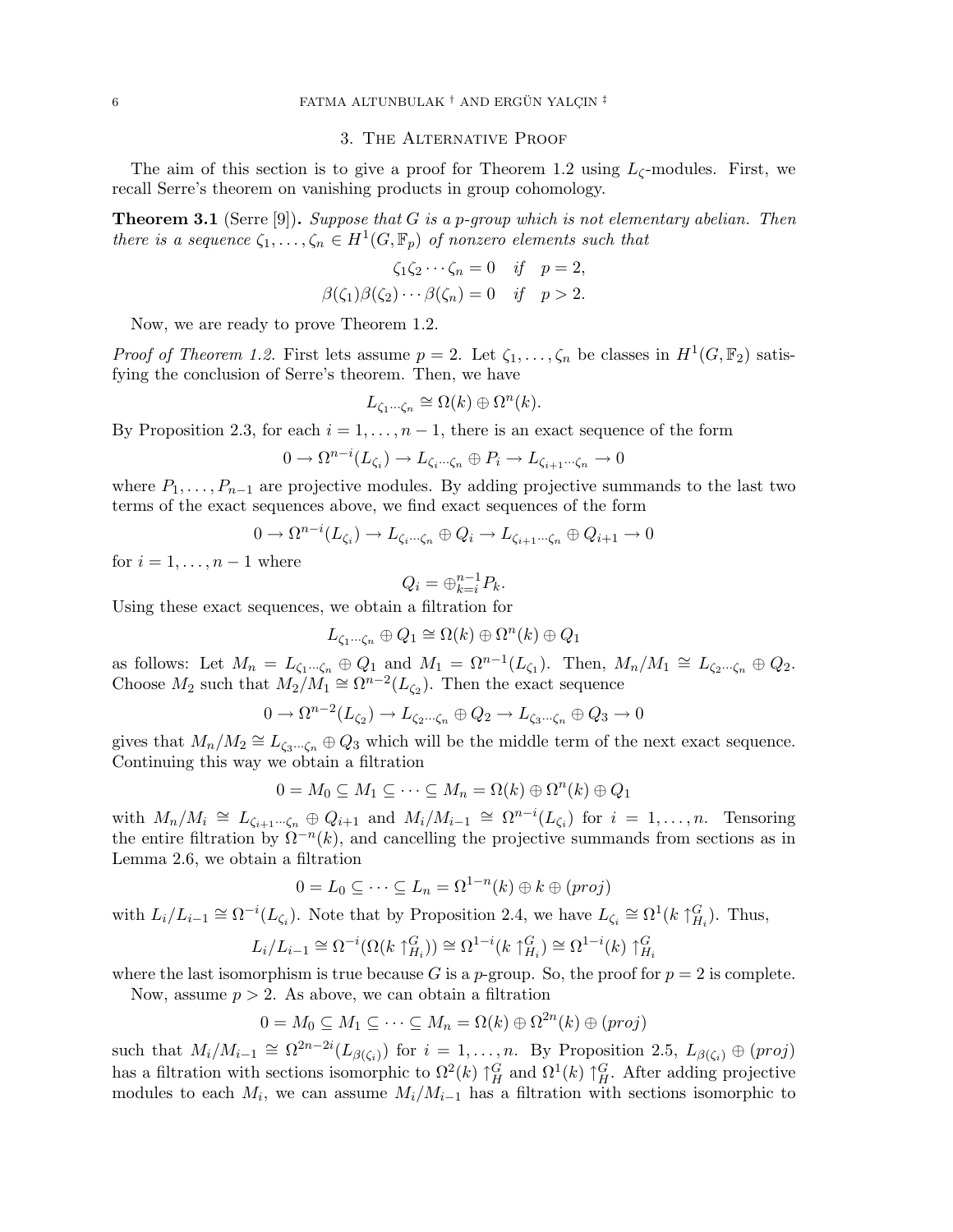## 6 **FATMA ALTUNBULAK** † AND ERGÜN YALÇIN $^{\ddagger}$

#### 3. The Alternative Proof

The aim of this section is to give a proof for Theorem 1.2 using  $L_{\zeta}$ -modules. First, we recall Serre's theorem on vanishing products in group cohomology.

**Theorem 3.1** (Serre [9]). Suppose that G is a p-group which is not elementary abelian. Then there is a sequence  $\zeta_1, \ldots, \zeta_n \in H^1(G, \mathbb{F}_p)$  of nonzero elements such that

$$
\zeta_1 \zeta_2 \cdots \zeta_n = 0 \quad \text{if} \quad p = 2,
$$
  

$$
\beta(\zeta_1)\beta(\zeta_2)\cdots \beta(\zeta_n) = 0 \quad \text{if} \quad p > 2.
$$

Now, we are ready to prove Theorem 1.2.

*Proof of Theorem 1.2.* First lets assume  $p = 2$ . Let  $\zeta_1, \ldots, \zeta_n$  be classes in  $H^1(G, \mathbb{F}_2)$  satisfying the conclusion of Serre's theorem. Then, we have

$$
L_{\zeta_1\cdots\zeta_n} \cong \Omega(k) \oplus \Omega^n(k).
$$

By Proposition 2.3, for each  $i = 1, \ldots, n - 1$ , there is an exact sequence of the form

$$
0 \to \Omega^{n-i}(L_{\zeta_i}) \to L_{\zeta_i \cdots \zeta_n} \oplus P_i \to L_{\zeta_{i+1} \cdots \zeta_n} \to 0
$$

where  $P_1, \ldots, P_{n-1}$  are projective modules. By adding projective summands to the last two terms of the exact sequences above, we find exact sequences of the form

$$
0 \to \Omega^{n-i}(L_{\zeta_i}) \to L_{\zeta_i \cdots \zeta_n} \oplus Q_i \to L_{\zeta_{i+1} \cdots \zeta_n} \oplus Q_{i+1} \to 0
$$

for  $i = 1, \ldots, n-1$  where

$$
Q_i = \oplus_{k=i}^{n-1} P_k.
$$

Using these exact sequences, we obtain a filtration for

$$
L_{\zeta_1\cdots\zeta_n}\oplus Q_1\cong \Omega(k)\oplus\Omega^n(k)\oplus Q_1
$$

as follows: Let  $M_n = L_{\zeta_1 \cdots \zeta_n} \oplus Q_1$  and  $M_1 = \Omega^{n-1}(L_{\zeta_1})$ . Then,  $M_n/M_1 \cong L_{\zeta_2 \cdots \zeta_n} \oplus Q_2$ . Choose  $M_2$  such that  $M_2/M_1 \cong \Omega^{n-2}(L_{\zeta_2})$ . Then the exact sequence

$$
0 \to \Omega^{n-2}(L_{\zeta_2}) \to L_{\zeta_2 \cdots \zeta_n} \oplus Q_2 \to L_{\zeta_3 \cdots \zeta_n} \oplus Q_3 \to 0
$$

gives that  $M_n/M_2 \cong L_{\zeta_3\cdots\zeta_n} \oplus Q_3$  which will be the middle term of the next exact sequence. Continuing this way we obtain a filtration

$$
0 = M_0 \subseteq M_1 \subseteq \cdots \subseteq M_n = \Omega(k) \oplus \Omega^n(k) \oplus Q_1
$$

with  $M_n/M_i \cong L_{\zeta_{i+1}\cdots\zeta_n} \oplus Q_{i+1}$  and  $M_i/M_{i-1} \cong \Omega^{n-i}(L_{\zeta_i})$  for  $i = 1,\ldots,n$ . Tensoring the entire filtration by  $\Omega^{-n}(k)$ , and cancelling the projective summands from sections as in Lemma 2.6, we obtain a filtration

$$
0 = L_0 \subseteq \dots \subseteq L_n = \Omega^{1-n}(k) \oplus k \oplus (proj)
$$

with  $L_i/L_{i-1} \cong \Omega^{-i}(L_{\zeta_i})$ . Note that by Proposition 2.4, we have  $L_{\zeta_i} \cong \Omega^1(k \upharpoonright^G_{H_i})$ . Thus,

$$
L_i/L_{i-1} \cong \Omega^{-i}(\Omega(k \uparrow_{H_i}^G)) \cong \Omega^{1-i}(k \uparrow_{H_i}^G) \cong \Omega^{1-i}(k) \uparrow_{H_i}^G
$$

where the last isomorphism is true because G is a p-group. So, the proof for  $p = 2$  is complete. Now, assume  $p > 2$ . As above, we can obtain a filtration

$$
0 = M_0 \subseteq M_1 \subseteq \cdots \subseteq M_n = \Omega(k) \oplus \Omega^{2n}(k) \oplus (proj)
$$

such that  $M_i/M_{i-1} \cong \Omega^{2n-2i}(L_{\beta(\zeta_i)})$  for  $i=1,\ldots,n$ . By Proposition 2.5,  $L_{\beta(\zeta_i)} \oplus (proj)$ has a filtration with sections isomorphic to  $\Omega^2(k) \uparrow^G_H$  and  $\Omega^1(k) \uparrow^G_H$ . After adding projective modules to each  $M_i$ , we can assume  $M_i/M_{i-1}$  has a filtration with sections isomorphic to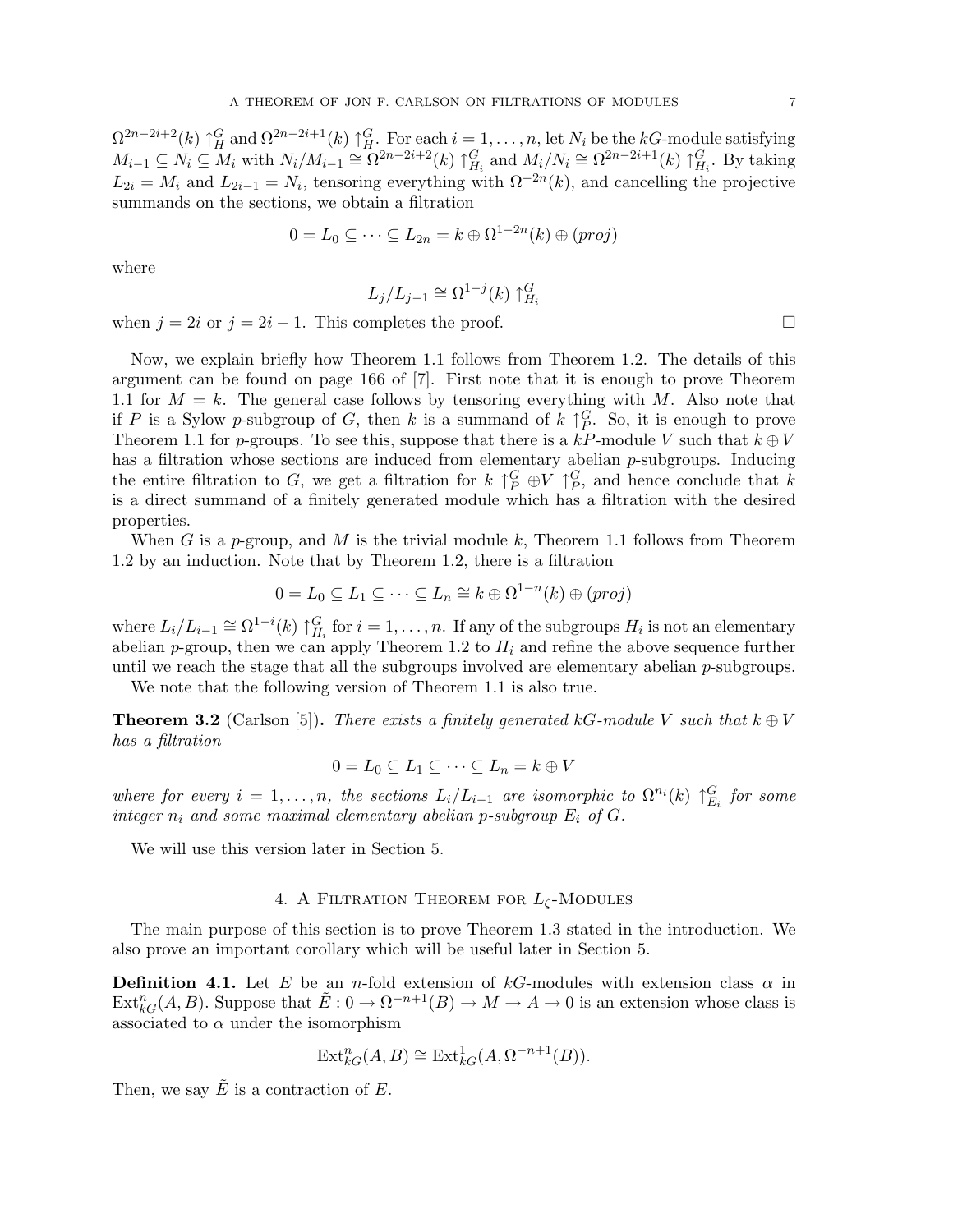$\Omega^{2n-2i+2}(k) \uparrow_H^G$  and  $\Omega^{2n-2i+1}(k) \uparrow_H^G$ . For each  $i = 1, \ldots, n$ , let  $N_i$  be the  $kG$ -module satisfying  $M_{i-1} \subseteq N_i \subseteq M_i$  with  $N_i/M_{i-1} \cong \Omega^{2n-2i+2}(k)$   $\uparrow_{H_i}^G$  and  $M_i/N_i \cong \Omega^{2n-2i+1}(k) \uparrow_{H_i}^G$ . By taking  $L_{2i} = M_i$  and  $L_{2i-1} = N_i$ , tensoring everything with  $\Omega^{-2n}(k)$ , and cancelling the projective summands on the sections, we obtain a filtration

$$
0 = L_0 \subseteq \cdots \subseteq L_{2n} = k \oplus \Omega^{1-2n}(k) \oplus (proj)
$$

where

$$
L_j/L_{j-1} \cong \Omega^{1-j}(k) \uparrow_{H_i}^G
$$

when  $j = 2i$  or  $j = 2i - 1$ . This completes the proof.  $\Box$ 

Now, we explain briefly how Theorem 1.1 follows from Theorem 1.2. The details of this argument can be found on page 166 of [7]. First note that it is enough to prove Theorem 1.1 for  $M = k$ . The general case follows by tensoring everything with M. Also note that if P is a Sylow p-subgroup of G, then k is a summand of  $k \uparrow_{P}^{G}$ . So, it is enough to prove Theorem 1.1 for p-groups. To see this, suppose that there is a kP-module V such that  $k \oplus V$ has a filtration whose sections are induced from elementary abelian *p*-subgroups. Inducing the entire filtration to G, we get a filtration for  $k \uparrow_P^G \oplus V \uparrow_P^G$ , and hence conclude that k is a direct summand of a finitely generated module which has a filtration with the desired properties.

When G is a p-group, and M is the trivial module k, Theorem 1.1 follows from Theorem 1.2 by an induction. Note that by Theorem 1.2, there is a filtration

$$
0 = L_0 \subseteq L_1 \subseteq \cdots \subseteq L_n \cong k \oplus \Omega^{1-n}(k) \oplus (proj)
$$

where  $L_i/L_{i-1} \cong \Omega^{1-i}(k) \uparrow^G_{H_i}$  for  $i = 1, \ldots, n$ . If any of the subgroups  $H_i$  is not an elementary abelian p-group, then we can apply Theorem 1.2 to  $H_i$  and refine the above sequence further until we reach the stage that all the subgroups involved are elementary abelian p-subgroups.

We note that the following version of Theorem 1.1 is also true.

**Theorem 3.2** (Carlson [5]). There exists a finitely generated kG-module V such that  $k \oplus V$ has a filtration

$$
0 = L_0 \subseteq L_1 \subseteq \cdots \subseteq L_n = k \oplus V
$$

where for every  $i = 1, ..., n$ , the sections  $L_i/L_{i-1}$  are isomorphic to  $\Omega^{n_i}(k) \uparrow_{E_i}^G$  for some integer  $n_i$  and some maximal elementary abelian p-subgroup  $E_i$  of G.

We will use this version later in Section 5.

# 4. A FILTRATION THEOREM FOR  $L_{\zeta}$ -Modules

The main purpose of this section is to prove Theorem 1.3 stated in the introduction. We also prove an important corollary which will be useful later in Section 5.

**Definition 4.1.** Let E be an n-fold extension of kG-modules with extension class  $\alpha$  in  $\text{Ext}_{kG}^{n}(A, B)$ . Suppose that  $\tilde{E}: 0 \to \Omega^{-n+1}(B) \to M \to A \to 0$  is an extension whose class is associated to  $\alpha$  under the isomorphism

$$
\text{Ext}_{kG}^{n}(A, B) \cong \text{Ext}_{kG}^{1}(A, \Omega^{-n+1}(B)).
$$

Then, we say  $\tilde{E}$  is a contraction of E.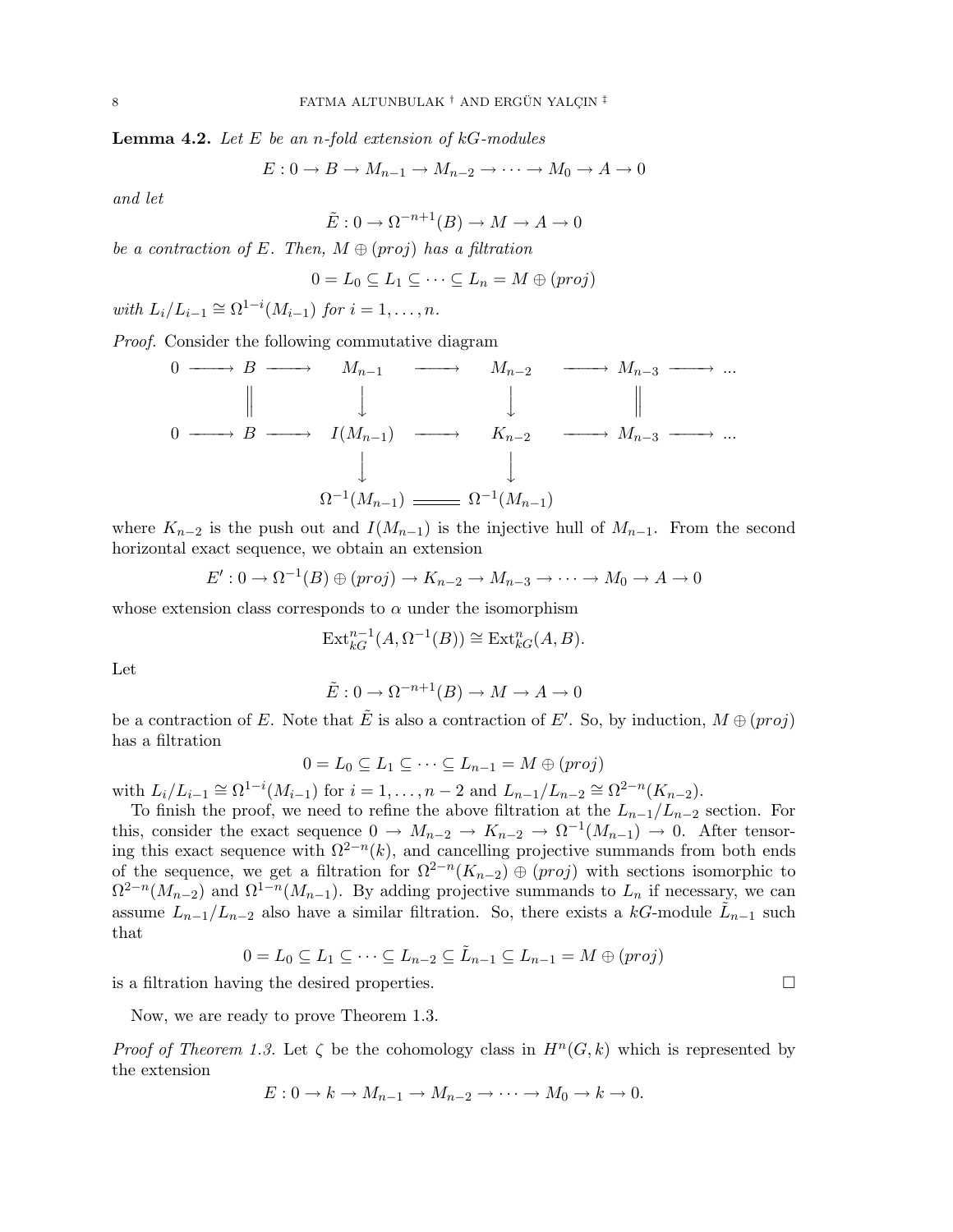**Lemma 4.2.** Let  $E$  be an *n*-fold extension of  $kG$ -modules

$$
E: 0 \to B \to M_{n-1} \to M_{n-2} \to \cdots \to M_0 \to A \to 0
$$

and let

$$
\tilde{E}: 0 \to \Omega^{-n+1}(B) \to M \to A \to 0
$$

be a contraction of E. Then,  $M \oplus (proj)$  has a filtration

$$
0 = L_0 \subseteq L_1 \subseteq \cdots \subseteq L_n = M \oplus (proj)
$$

with  $L_i/L_{i-1} \cong \Omega^{1-i}(M_{i-1})$  for  $i = 1, \ldots, n$ .

Proof. Consider the following commutative diagram

$$
\begin{array}{ccccccc}\n0 & \longrightarrow & B & \longrightarrow & M_{n-1} & \longrightarrow & M_{n-2} & \longrightarrow & M_{n-3} & \longrightarrow & \dots \\
\parallel & & & & & & & & \\
0 & \longrightarrow & B & \longrightarrow & I(M_{n-1}) & \longrightarrow & K_{n-2} & \longrightarrow & M_{n-3} & \longrightarrow & \dots \\
& & & & & & & & \\
& & & & & & & & & \\
& & & & & & & & & \\
& & & & & & & & & \\
& & & & & & & & & \\
& & & & & & & & & & \\
& & & & & & & & & & \\
& & & & & & & & & & & \\
& & & & & & & & & & & \\
& & & & & & & & & & & \\
& & & & & & & & & & & & \\
& & & & & & & & & & & & & \\
& & & & & & & & & & & & & \\
& & & & & & & & & & & & & \\
& & & & & & & & & & & & & \\
& & & & & & & & & & & & & \\
& & & & & & & & & & & & & \\
& & & & & & &
$$

where  $K_{n-2}$  is the push out and  $I(M_{n-1})$  is the injective hull of  $M_{n-1}$ . From the second horizontal exact sequence, we obtain an extension

$$
E': 0 \to \Omega^{-1}(B) \oplus (proj) \to K_{n-2} \to M_{n-3} \to \cdots \to M_0 \to A \to 0
$$

whose extension class corresponds to  $\alpha$  under the isomorphism

$$
\operatorname{Ext}_{kG}^{n-1}(A, \Omega^{-1}(B)) \cong \operatorname{Ext}_{kG}^{n}(A, B).
$$

Let

$$
\tilde{E}: 0 \to \Omega^{-n+1}(B) \to M \to A \to 0
$$

be a contraction of E. Note that  $\tilde{E}$  is also a contraction of E'. So, by induction,  $M \oplus (proj)$ has a filtration

$$
0 = L_0 \subseteq L_1 \subseteq \cdots \subseteq L_{n-1} = M \oplus (proj)
$$

with  $L_i/L_{i-1} \cong \Omega^{1-i}(M_{i-1})$  for  $i = 1, ..., n-2$  and  $L_{n-1}/L_{n-2} \cong \Omega^{2-n}(K_{n-2})$ .

To finish the proof, we need to refine the above filtration at the  $L_{n-1}/L_{n-2}$  section. For this, consider the exact sequence  $0 \to M_{n-2} \to K_{n-2} \to \Omega^{-1}(M_{n-1}) \to 0$ . After tensoring this exact sequence with  $\Omega^{2-n}(k)$ , and cancelling projective summands from both ends of the sequence, we get a filtration for  $\Omega^{2-n}(K_{n-2}) \oplus (proj)$  with sections isomorphic to  $\Omega^{2-n}(M_{n-2})$  and  $\Omega^{1-n}(M_{n-1})$ . By adding projective summands to  $L_n$  if necessary, we can assume  $L_{n-1}/L_{n-2}$  also have a similar filtration. So, there exists a kG-module  $\tilde{L}_{n-1}$  such that

$$
0 = L_0 \subseteq L_1 \subseteq \cdots \subseteq L_{n-2} \subseteq \tilde{L}_{n-1} \subseteq L_{n-1} = M \oplus (proj)
$$

is a filtration having the desired properties.  $\Box$ 

Now, we are ready to prove Theorem 1.3.

Proof of Theorem 1.3. Let  $\zeta$  be the cohomology class in  $H^{n}(G, k)$  which is represented by the extension

$$
E: 0 \to k \to M_{n-1} \to M_{n-2} \to \cdots \to M_0 \to k \to 0.
$$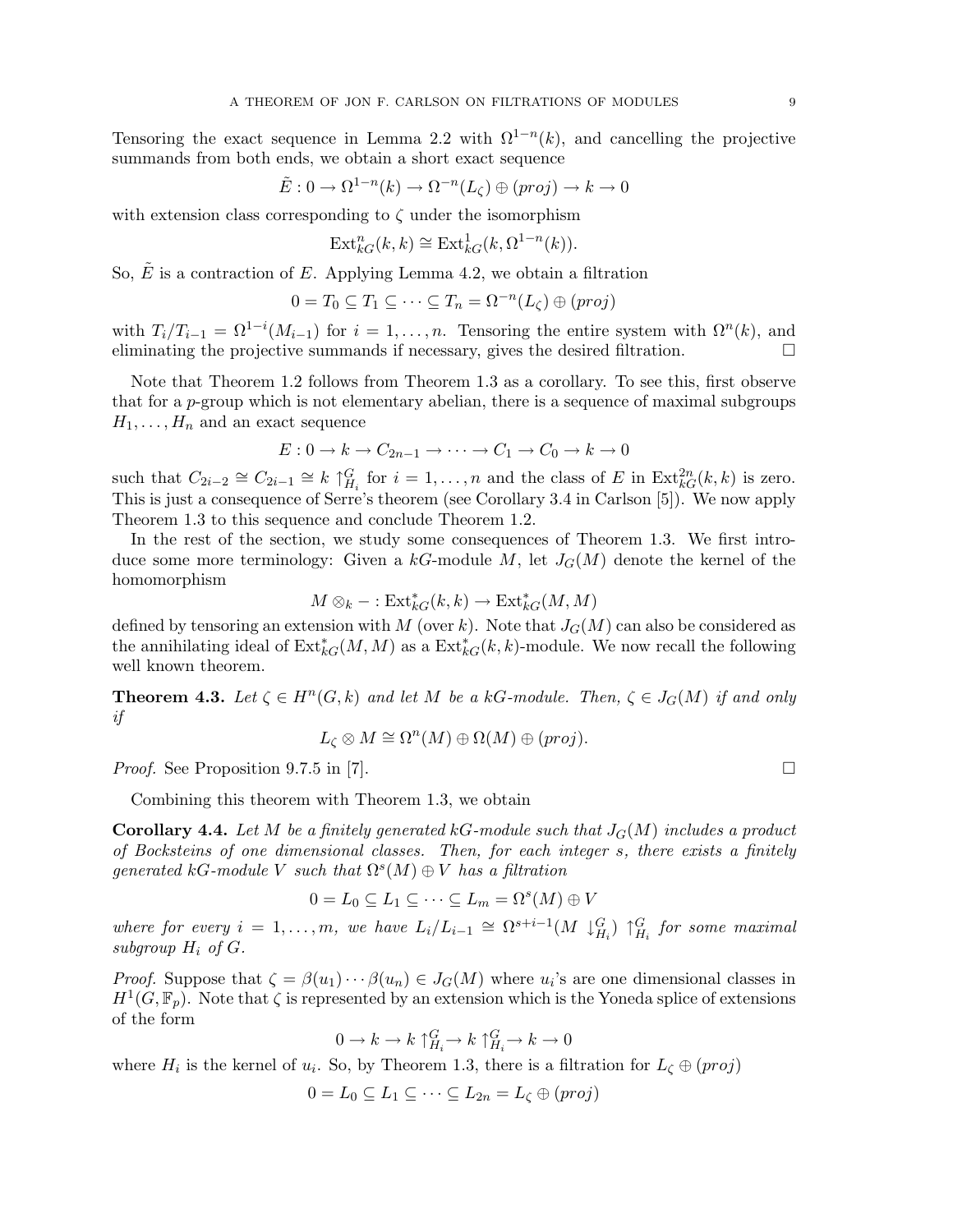Tensoring the exact sequence in Lemma 2.2 with  $\Omega^{1-n}(k)$ , and cancelling the projective summands from both ends, we obtain a short exact sequence

$$
\tilde{E}: 0 \to \Omega^{1-n}(k) \to \Omega^{-n}(L_{\zeta}) \oplus (proj) \to k \to 0
$$

with extension class corresponding to  $\zeta$  under the isomorphism

$$
\mathrm{Ext}^n_{kG}(k,k)\cong \mathrm{Ext}^1_{kG}(k,\Omega^{1-n}(k)).
$$

So,  $\tilde{E}$  is a contraction of E. Applying Lemma 4.2, we obtain a filtration

$$
0 = T_0 \subseteq T_1 \subseteq \cdots \subseteq T_n = \Omega^{-n}(L_\zeta) \oplus (proj)
$$

with  $T_i/T_{i-1} = \Omega^{1-i}(M_{i-1})$  for  $i = 1,\ldots,n$ . Tensoring the entire system with  $\Omega^n(k)$ , and eliminating the projective summands if necessary, gives the desired filtration.  $\Box$ 

Note that Theorem 1.2 follows from Theorem 1.3 as a corollary. To see this, first observe that for a p-group which is not elementary abelian, there is a sequence of maximal subgroups  $H_1, \ldots, H_n$  and an exact sequence

$$
E: 0 \to k \to C_{2n-1} \to \cdots \to C_1 \to C_0 \to k \to 0
$$

such that  $C_{2i-2} \cong C_{2i-1} \cong k \uparrow_{H_i}^G$  for  $i = 1, \ldots, n$  and the class of E in  $\text{Ext}_{k}^{2n}(k, k)$  is zero. This is just a consequence of Serre's theorem (see Corollary 3.4 in Carlson [5]). We now apply Theorem 1.3 to this sequence and conclude Theorem 1.2.

In the rest of the section, we study some consequences of Theorem 1.3. We first introduce some more terminology: Given a  $kG$ -module M, let  $J_G(M)$  denote the kernel of the homomorphism

$$
M \otimes_k - : \mathrm{Ext}^*_{kG}(k, k) \to \mathrm{Ext}^*_{kG}(M, M)
$$

defined by tensoring an extension with M (over k). Note that  $J_G(M)$  can also be considered as the annihilating ideal of  $\text{Ext}_{kG}^*(M, M)$  as a  $\text{Ext}_{kG}^*(k, k)$ -module. We now recall the following well known theorem.

**Theorem 4.3.** Let  $\zeta \in H^n(G,k)$  and let M be a kG-module. Then,  $\zeta \in J_G(M)$  if and only if

$$
L_{\zeta} \otimes M \cong \Omega^{n}(M) \oplus \Omega(M) \oplus (proj).
$$

*Proof.* See Proposition 9.7.5 in [7].  $\Box$ 

Combining this theorem with Theorem 1.3, we obtain

**Corollary 4.4.** Let M be a finitely generated kG-module such that  $J_G(M)$  includes a product of Bocksteins of one dimensional classes. Then, for each integer s, there exists a finitely generated kG-module V such that  $\Omega^{s}(M) \oplus V$  has a filtration

$$
0 = L_0 \subseteq L_1 \subseteq \cdots \subseteq L_m = \Omega^s(M) \oplus V
$$

where for every  $i = 1, ..., m$ , we have  $L_i/L_{i-1} \cong \Omega^{s+i-1}(M \downarrow_{H_i}^G) \uparrow_{H_i}^G$  for some maximal subgroup  $H_i$  of  $G$ .

*Proof.* Suppose that  $\zeta = \beta(u_1) \cdots \beta(u_n) \in J_G(M)$  where  $u_i$ 's are one dimensional classes in  $H^1(G,\mathbb{F}_p)$ . Note that  $\zeta$  is represented by an extension which is the Yoneda splice of extensions of the form

$$
0\to k\to k\uparrow^G_{H_i}\to k\uparrow^G_{H_i}\to k\to 0
$$

where  $H_i$  is the kernel of  $u_i$ . So, by Theorem 1.3, there is a filtration for  $L_{\zeta} \oplus (proj)$ 

$$
0 = L_0 \subseteq L_1 \subseteq \cdots \subseteq L_{2n} = L_{\zeta} \oplus (proj)
$$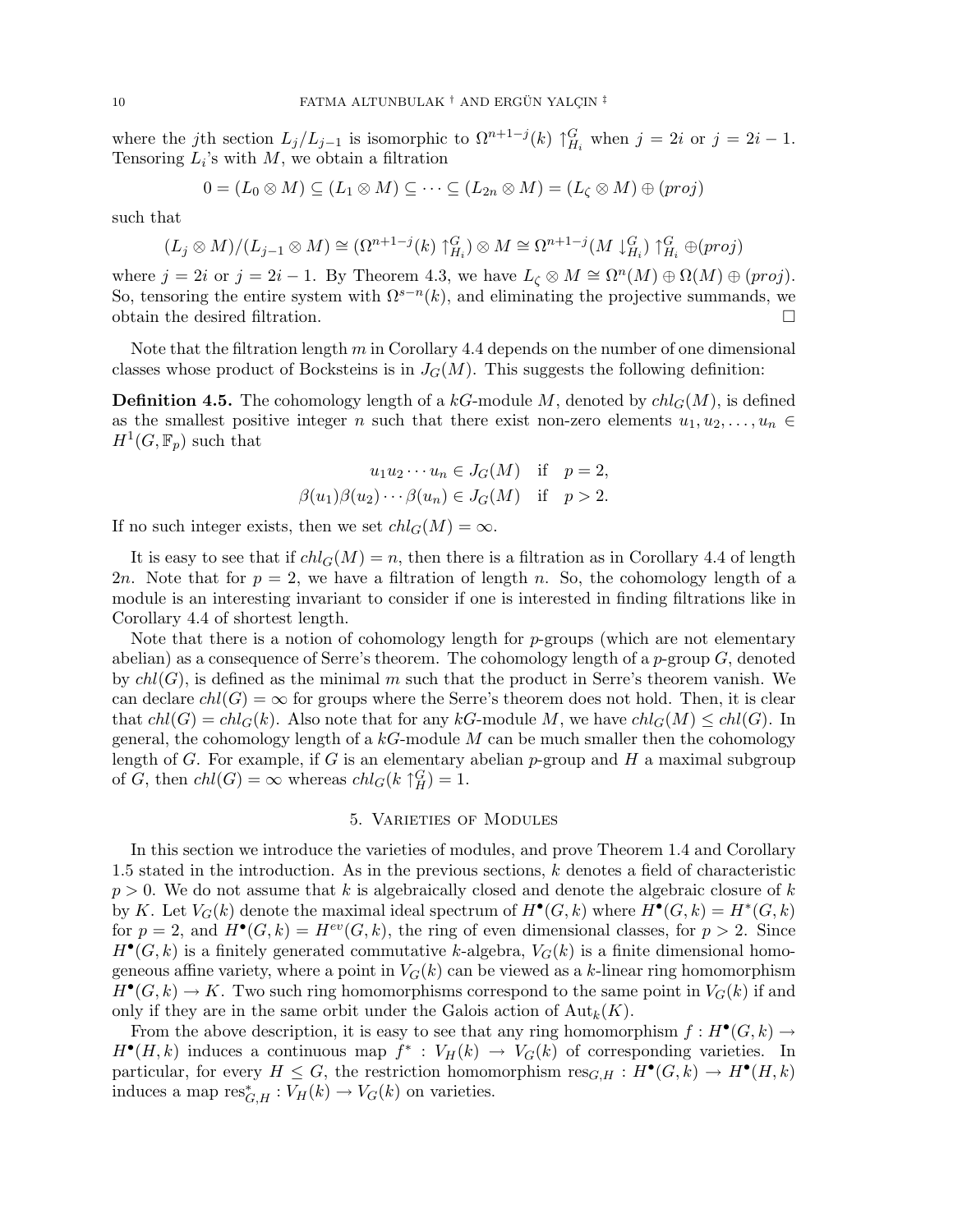where the jth section  $L_j/L_{j-1}$  is isomorphic to  $\Omega^{n+1-j}(k) \uparrow_{H_i}^G$  when  $j = 2i$  or  $j = 2i - 1$ . Tensoring  $L_i$ 's with  $M$ , we obtain a filtration

$$
0 = (L_0 \otimes M) \subseteq (L_1 \otimes M) \subseteq \cdots \subseteq (L_{2n} \otimes M) = (L_{\zeta} \otimes M) \oplus (proj)
$$

such that

$$
(L_j \otimes M)/(L_{j-1} \otimes M) \cong (\Omega^{n+1-j}(k) \uparrow_{H_i}^G) \otimes M \cong \Omega^{n+1-j}(M \downarrow_{H_i}^G) \uparrow_{H_i}^G \oplus (proj)
$$

where  $j = 2i$  or  $j = 2i - 1$ . By Theorem 4.3, we have  $L_{\zeta} \otimes M \cong \Omega^{n}(M) \oplus \Omega(M) \oplus (proj)$ . So, tensoring the entire system with  $\Omega^{s-n}(k)$ , and eliminating the projective summands, we obtain the desired filtration.

Note that the filtration length  $m$  in Corollary 4.4 depends on the number of one dimensional classes whose product of Bocksteins is in  $J_G(M)$ . This suggests the following definition:

**Definition 4.5.** The cohomology length of a kG-module M, denoted by  $ch_l_G(M)$ , is defined as the smallest positive integer n such that there exist non-zero elements  $u_1, u_2, \ldots, u_n \in$  $H^1(G,\mathbb{F}_p)$  such that

$$
u_1 u_2 \cdots u_n \in J_G(M) \quad \text{if} \quad p = 2,
$$
  

$$
\beta(u_1)\beta(u_2)\cdots\beta(u_n) \in J_G(M) \quad \text{if} \quad p > 2.
$$

If no such integer exists, then we set  $chl_G(M) = \infty$ .

It is easy to see that if  $ch_lG(M) = n$ , then there is a filtration as in Corollary 4.4 of length 2n. Note that for  $p = 2$ , we have a filtration of length n. So, the cohomology length of a module is an interesting invariant to consider if one is interested in finding filtrations like in Corollary 4.4 of shortest length.

Note that there is a notion of cohomology length for  $p$ -groups (which are not elementary abelian) as a consequence of Serre's theorem. The cohomology length of a  $p$ -group  $G$ , denoted by  $ch(G)$ , is defined as the minimal m such that the product in Serre's theorem vanish. We can declare  $ch(G) = \infty$  for groups where the Serre's theorem does not hold. Then, it is clear that  $ch(G) = chl_G(k)$ . Also note that for any kG-module M, we have  $chl_G(M) \leq chl(G)$ . In general, the cohomology length of a  $kG$ -module M can be much smaller then the cohomology length of G. For example, if G is an elementary abelian  $p$ -group and H a maximal subgroup of G, then  $chl(G) = \infty$  whereas  $chl_G(k \uparrow^G_H) = 1$ .

## 5. Varieties of Modules

In this section we introduce the varieties of modules, and prove Theorem 1.4 and Corollary 1.5 stated in the introduction. As in the previous sections, k denotes a field of characteristic  $p > 0$ . We do not assume that k is algebraically closed and denote the algebraic closure of k by K. Let  $V_G(k)$  denote the maximal ideal spectrum of  $H^{\bullet}(G,k)$  where  $H^{\bullet}(G,k) = H^*(G,k)$ for  $p = 2$ , and  $H^{\bullet}(G, k) = H^{ev}(G, k)$ , the ring of even dimensional classes, for  $p > 2$ . Since  $H^{\bullet}(G, k)$  is a finitely generated commutative k-algebra,  $V_G(k)$  is a finite dimensional homogeneous affine variety, where a point in  $V_G(k)$  can be viewed as a k-linear ring homomorphism  $H^{\bullet}(G,k) \to K$ . Two such ring homomorphisms correspond to the same point in  $V_G(k)$  if and only if they are in the same orbit under the Galois action of  ${\rm Aut}_k(K)$ .

From the above description, it is easy to see that any ring homomorphism  $f: H^{\bullet}(G, k) \to$  $H^{\bullet}(H,k)$  induces a continuous map  $f^*: V_H(k) \to V_G(k)$  of corresponding varieties. In particular, for every  $H \leq G$ , the restriction homomorphism  $res_{G,H} : H^{\bullet}(G,k) \to H^{\bullet}(H,k)$ induces a map  $res_{G,H}^* : V_H(k) \to V_G(k)$  on varieties.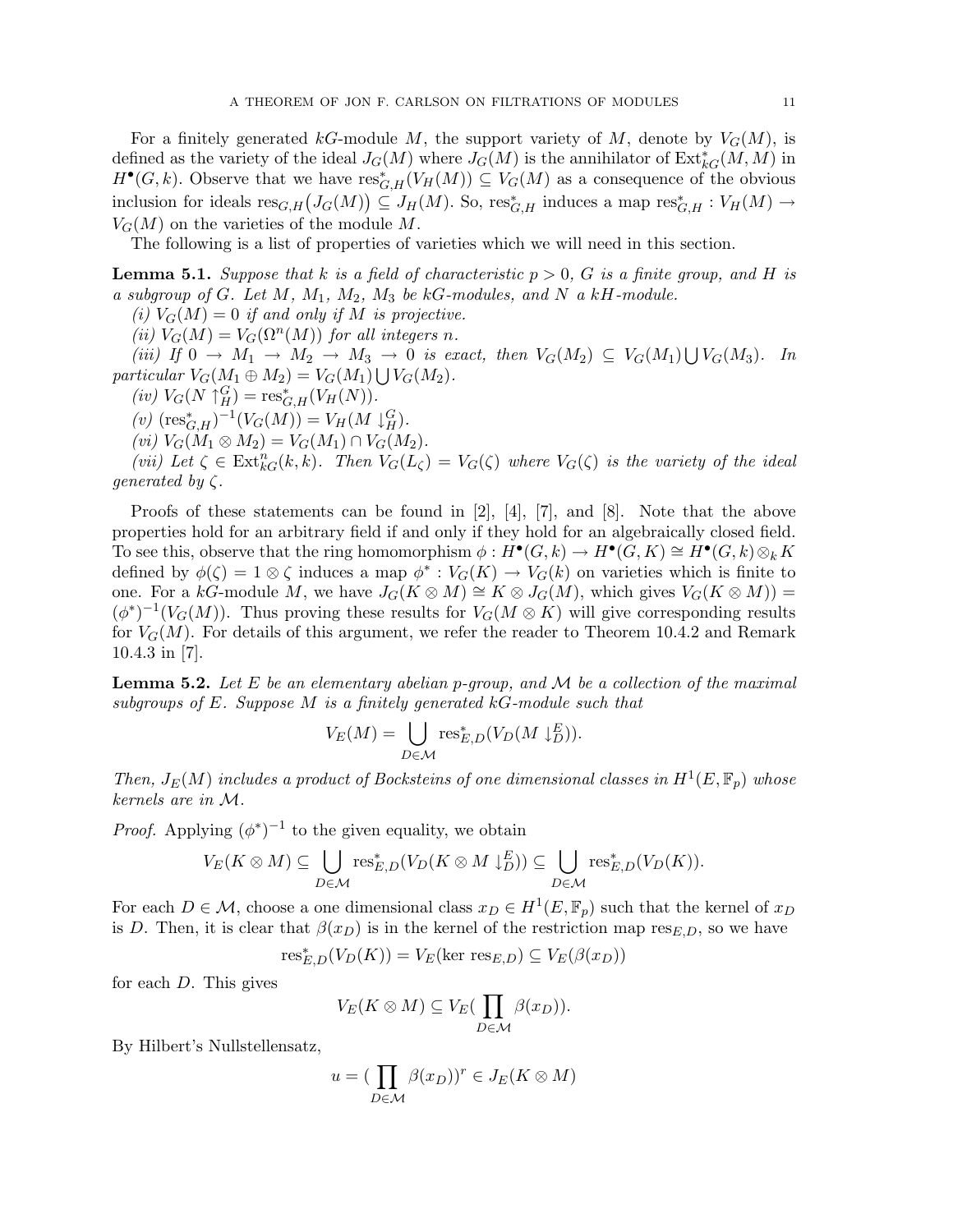For a finitely generated kG-module M, the support variety of M, denote by  $V_G(M)$ , is defined as the variety of the ideal  $J_G(M)$  where  $J_G(M)$  is the annihilator of  $\operatorname{Ext}^*_{kG}(M,M)$  in  $H^{\bullet}(G,k)$ . Observe that we have  $res^*_{G,H}(V_H(M)) \subseteq V_G(M)$  as a consequence of the obvious inclusion for ideals  $res_{G,H}(J_G(M)) \subseteq J_H(M)$ . So,  $res_{G,H}^*$  induces a map  $res_{G,H}^* : V_H(M) \to$  $V_G(M)$  on the varieties of the module M.

The following is a list of properties of varieties which we will need in this section.

**Lemma 5.1.** Suppose that k is a field of characteristic  $p > 0$ , G is a finite group, and H is a subgroup of  $G$ . Let  $M$ ,  $M_1$ ,  $M_2$ ,  $M_3$  be  $kG$ -modules, and  $N$  a  $kH$ -module.

(i)  $V_G(M) = 0$  if and only if M is projective.

(ii)  $V_G(M) = V_G(\Omega^n(M))$  for all integers n.

(iii) If  $0 \to M_1 \to M_2 \to M_3 \to 0$  is exact, then  $V_G(M_2) \subseteq V_G(M_1)$ S  $\rightarrow$  0 is exact, then  $V_G(M_2) \subseteq V_G(M_1) \bigcup V_G(M_3)$ . In particular  $V_G(M_1 \oplus M_2) = V_G(M_1) \bigcup V_G(M_2)$ .

 $(iv) V_G(N \uparrow_H^G) = \text{res}_{G,H}^*(V_H(N)).$ 

 $(v)$   $(\text{res}_{G,H}^*)^{-1}(V_G(M)) = V_H(M \downarrow_H^G).$ 

 $(vi) V_G(M_1 \otimes M_2) = V_G(M_1) \cap V_G(M_2).$ 

(vii) Let  $\zeta \in \text{Ext}_{kG}^{n}(k, k)$ . Then  $V_{G}(L_{\zeta}) = V_{G}(\zeta)$  where  $V_{G}(\zeta)$  is the variety of the ideal *generated by*  $\zeta$ .

Proofs of these statements can be found in [2], [4], [7], and [8]. Note that the above properties hold for an arbitrary field if and only if they hold for an algebraically closed field. To see this, observe that the ring homomorphism  $\phi: H^{\bullet}(G,k) \to H^{\bullet}(G,K) \cong H^{\bullet}(G,k) \otimes_k K$ defined by  $\phi(\zeta) = 1 \otimes \zeta$  induces a map  $\phi^* : V_G(K) \to V_G(k)$  on varieties which is finite to one. For a kG-module M, we have  $J_G(K \otimes M) \cong K \otimes J_G(M)$ , which gives  $V_G(K \otimes M)) =$  $(\phi^*)^{-1}(V_G(M))$ . Thus proving these results for  $V_G(M \otimes K)$  will give corresponding results for  $V_G(M)$ . For details of this argument, we refer the reader to Theorem 10.4.2 and Remark 10.4.3 in [7].

**Lemma 5.2.** Let E be an elementary abelian p-group, and  $M$  be a collection of the maximal subgroups of E. Suppose M is a finitely generated kG-module such that

$$
V_E(M) = \bigcup_{D \in \mathcal{M}} \text{res}_{E,D}^*(V_D(M \downarrow_D^E)).
$$

Then,  $J_E(M)$  includes a product of Bocksteins of one dimensional classes in  $H^1(E, \mathbb{F}_p)$  whose kernels are in M.

*Proof.* Applying  $(\phi^*)^{-1}$  to the given equality, we obtain

$$
V_E(K \otimes M) \subseteq \bigcup_{D \in \mathcal{M}} \text{res}_{E,D}^*(V_D(K \otimes M \downarrow_D^E)) \subseteq \bigcup_{D \in \mathcal{M}} \text{res}_{E,D}^*(V_D(K)).
$$

For each  $D \in \mathcal{M}$ , choose a one dimensional class  $x_D \in H^1(E, \mathbb{F}_p)$  such that the kernel of  $x_D$ is D. Then, it is clear that  $\beta(x_D)$  is in the kernel of the restriction map res<sub>E,D</sub>, so we have

$$
\operatorname{res}_{E,D}^*(V_D(K)) = V_E(\ker \operatorname{res}_{E,D}) \subseteq V_E(\beta(x_D))
$$

for each  $D$ . This gives

$$
V_E(K\otimes M)\subseteq V_E(\prod_{D\in\mathcal{M}}\beta(x_D)).
$$

By Hilbert's Nullstellensatz,

$$
u = \left(\prod_{D \in \mathcal{M}} \beta(x_D)\right)^r \in J_E(K \otimes M)
$$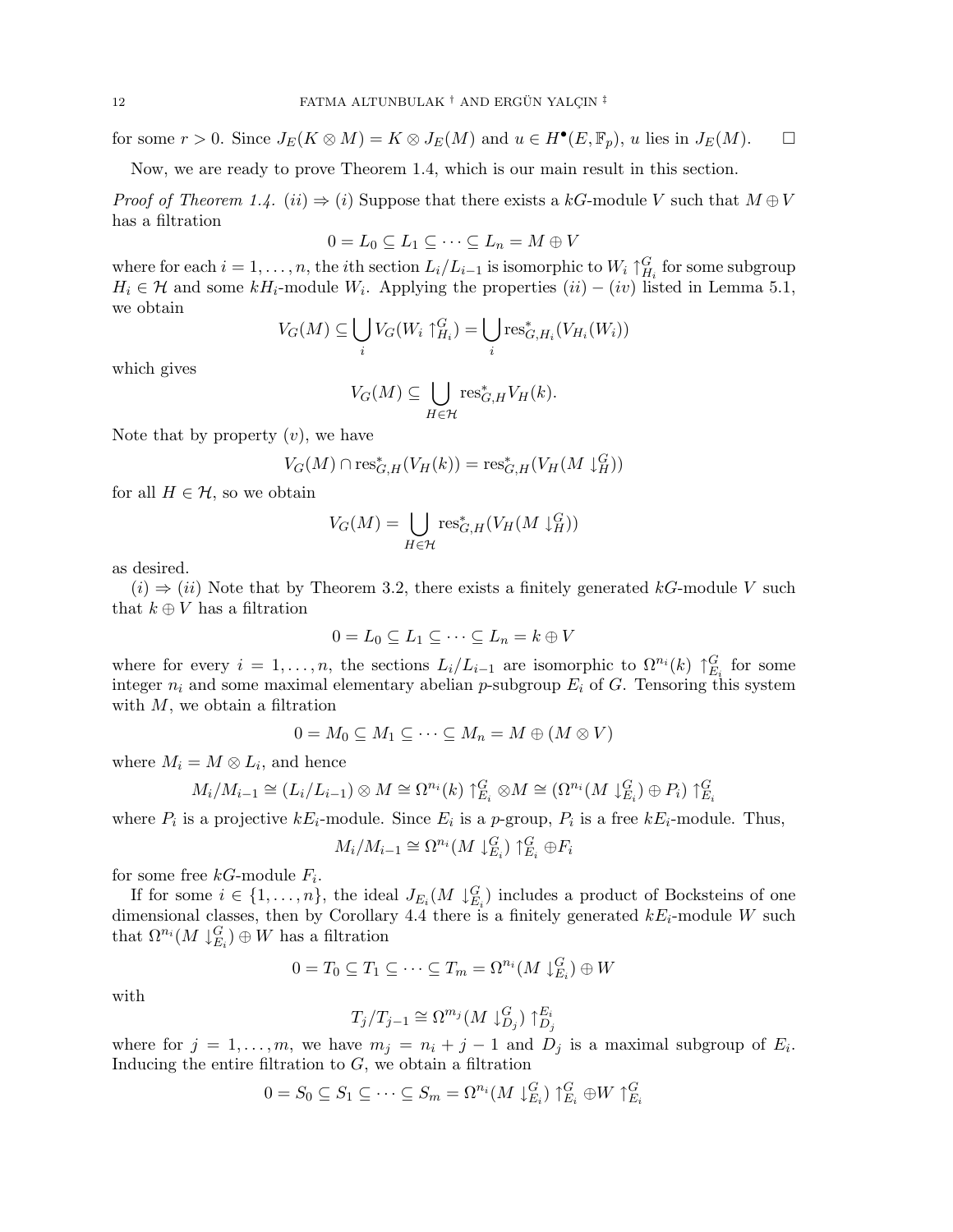for some  $r > 0$ . Since  $J_E(K \otimes M) = K \otimes J_E(M)$  and  $u \in H^{\bullet}(E, \mathbb{F}_p)$ , u lies in  $J_E(M)$ .  $\Box$ 

Now, we are ready to prove Theorem 1.4, which is our main result in this section.

*Proof of Theorem 1.4.*  $(ii) \Rightarrow (i)$  Suppose that there exists a kG-module V such that  $M \oplus V$ has a filtration

$$
0 = L_0 \subseteq L_1 \subseteq \cdots \subseteq L_n = M \oplus V
$$

where for each  $i = 1, \ldots, n$ , the *i*<sup>th</sup> section  $L_i/L_{i-1}$  is isomorphic to  $W_i \uparrow_{H_i}^G$  for some subgroup  $H_i \in \mathcal{H}$  and some  $kH_i$ -module  $W_i$ . Applying the properties  $(ii) - (iv)$  listed in Lemma 5.1, we obtain  $\mathbf{r}$ 

$$
V_G(M) \subseteq \bigcup_i V_G(W_i \uparrow_{H_i}^G) = \bigcup_i \text{res}_{G,H_i}^*(V_{H_i}(W_i))
$$

which gives

$$
V_G(M) \subseteq \bigcup_{H \in \mathcal{H}} \text{res}_{G,H}^* V_H(k).
$$

Note that by property  $(v)$ , we have

$$
V_G(M)\cap {\rm res}_{G,H}^\ast(V_H(k))={\rm res}_{G,H}^\ast(V_H(M\downarrow_H^G))
$$

for all  $H \in \mathcal{H}$ , so we obtain

$$
V_G(M) = \bigcup_{H \in \mathcal{H}} \text{res}_{G,H}^*(V_H(M \downarrow_H^G))
$$

as desired.

 $(i) \Rightarrow (ii)$  Note that by Theorem 3.2, there exists a finitely generated kG-module V such that  $k \oplus V$  has a filtration

$$
0 = L_0 \subseteq L_1 \subseteq \cdots \subseteq L_n = k \oplus V
$$

where for every  $i = 1, \ldots, n$ , the sections  $L_i/L_{i-1}$  are isomorphic to  $\Omega^{n_i}(k) \uparrow_{E_i}^G$  for some integer  $n_i$  and some maximal elementary abelian p-subgroup  $E_i$  of G. Tensoring this system with  $M$ , we obtain a filtration

$$
0 = M_0 \subseteq M_1 \subseteq \cdots \subseteq M_n = M \oplus (M \otimes V)
$$

where  $M_i = M \otimes L_i$ , and hence

$$
M_i/M_{i-1} \cong (L_i/L_{i-1}) \otimes M \cong \Omega^{n_i}(k) \uparrow_{E_i}^G \otimes M \cong (\Omega^{n_i}(M \downarrow_{E_i}^G) \oplus P_i) \uparrow_{E_i}^G
$$

where  $P_i$  is a projective  $kE_i$ -module. Since  $E_i$  is a p-group,  $P_i$  is a free  $kE_i$ -module. Thus,

$$
M_i/M_{i-1} \cong \Omega^{n_i}(M \downarrow_{E_i}^G) \uparrow_{E_i}^G \oplus F_i
$$

for some free  $kG$ -module  $F_i$ .

If for some  $i \in \{1, \ldots, n\}$ , the ideal  $J_{E_i}(M \downarrow_{E_i}^G)$  includes a product of Bocksteins of one dimensional classes, then by Corollary 4.4 there is a finitely generated  $kE_i$ -module W such that  $\Omega^{n_i}(M\downarrow_{E_i}^G) \oplus W$  has a filtration

$$
0 = T_0 \subseteq T_1 \subseteq \cdots \subseteq T_m = \Omega^{n_i}(M \downarrow_{E_i}^G) \oplus W
$$

with

$$
T_j/T_{j-1} \cong \Omega^{m_j}(M \downarrow_{D_j}^G) \uparrow_{D_j}^{E_i}
$$

where for  $j = 1, ..., m$ , we have  $m_j = n_i + j - 1$  and  $D_j$  is a maximal subgroup of  $E_i$ . Inducing the entire filtration to  $G$ , we obtain a filtration

$$
0 = S_0 \subseteq S_1 \subseteq \cdots \subseteq S_m = \Omega^{n_i}(M \downarrow_{E_i}^G) \uparrow_{E_i}^G \oplus W \uparrow_{E_i}^G
$$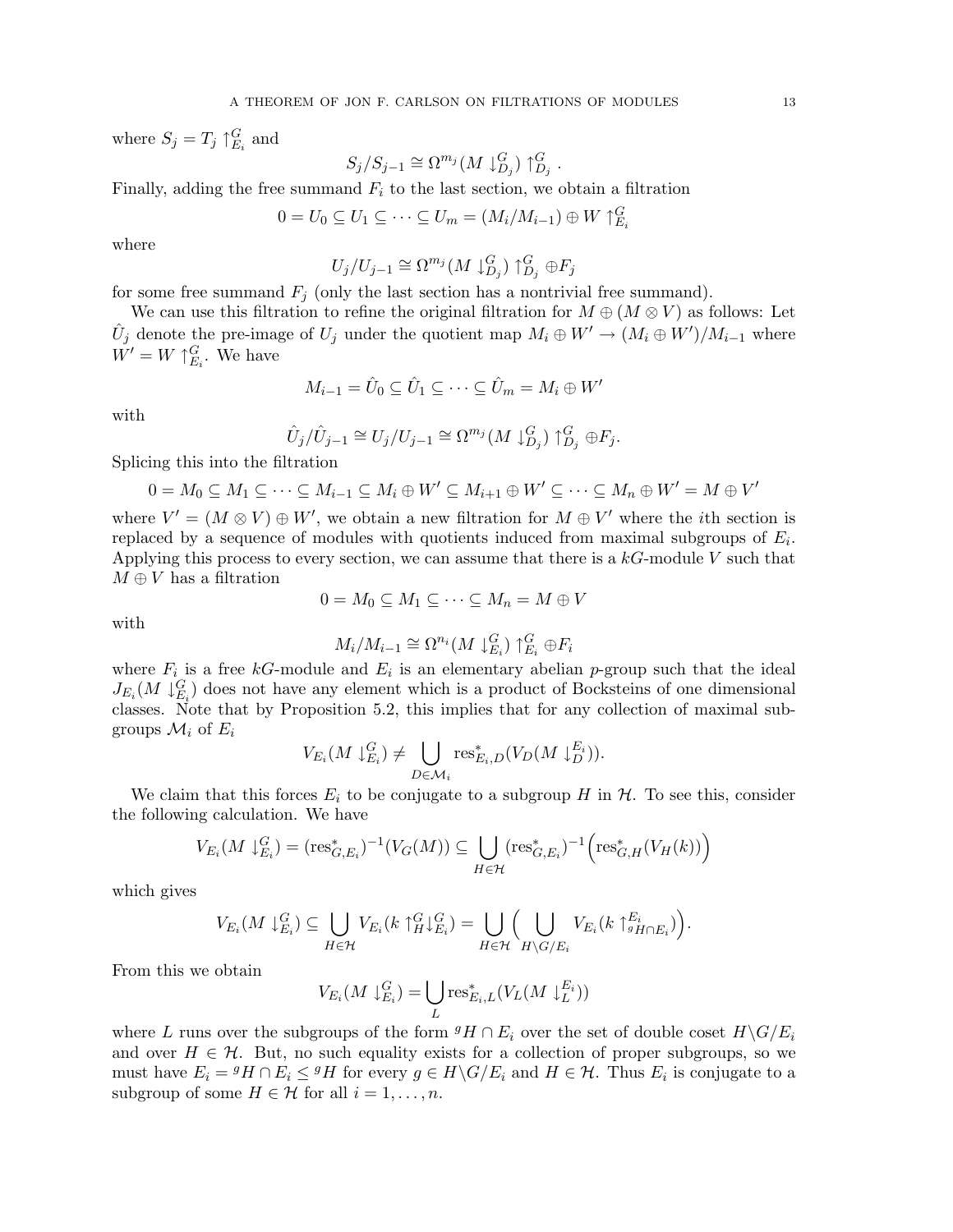where  $S_j = T_j \uparrow_{E_i}^G$  and

$$
S_j/S_{j-1} \cong \Omega^{m_j}(M \downarrow_{D_j}^G) \uparrow_{D_j}^G.
$$

Finally, adding the free summand  $F_i$  to the last section, we obtain a filtration

$$
0 = U_0 \subseteq U_1 \subseteq \cdots \subseteq U_m = (M_i/M_{i-1}) \oplus W \uparrow_{E_i}^G
$$

where

$$
U_j/U_{j-1} \cong \Omega^{m_j}(M \downarrow_{D_j}^G) \uparrow_{D_j}^G \oplus F_j
$$

for some free summand  $F_i$  (only the last section has a nontrivial free summand).

We can use this filtration to refine the original filtration for  $M \oplus (M \otimes V)$  as follows: Let  $\hat{U}_j$  denote the pre-image of  $U_j$  under the quotient map  $M_i \oplus W' \to (M_i \oplus W')/M_{i-1}$  where  $W' = W \uparrow_{E_i}^G$ . We have

$$
M_{i-1} = \hat{U}_0 \subseteq \hat{U}_1 \subseteq \cdots \subseteq \hat{U}_m = M_i \oplus W'
$$

with

$$
\hat{U}_j/\hat{U}_{j-1} \cong U_j/U_{j-1} \cong \Omega^{m_j}(M \downarrow_{D_j}^G) \uparrow_{D_j}^G \oplus F_j.
$$

Splicing this into the filtration

$$
0 = M_0 \subseteq M_1 \subseteq \cdots \subseteq M_{i-1} \subseteq M_i \oplus W' \subseteq M_{i+1} \oplus W' \subseteq \cdots \subseteq M_n \oplus W' = M \oplus V'
$$

where  $V' = (M \otimes V) \oplus W'$ , we obtain a new filtration for  $M \oplus V'$  where the *i*th section is replaced by a sequence of modules with quotients induced from maximal subgroups of  $E_i$ . Applying this process to every section, we can assume that there is a  $k$ -module V such that  $M \oplus V$  has a filtration

$$
0 = M_0 \subseteq M_1 \subseteq \cdots \subseteq M_n = M \oplus V
$$

with

$$
M_i/M_{i-1} \cong \Omega^{n_i}(M \downarrow_{E_i}^G) \uparrow_{E_i}^G \oplus F_i
$$

where  $F_i$  is a free kG-module and  $E_i$  is an elementary abelian p-group such that the ideal  $J_{E_i}(M \downarrow_{E_i}^G)$  does not have any element which is a product of Bocksteins of one dimensional classes. Note that by Proposition 5.2, this implies that for any collection of maximal subgroups  $\mathcal{M}_i$  of  $E_i$  $\mathbf{r}$ 

$$
V_{E_i}(M \downarrow_{E_i}^G) \neq \bigcup_{D \in \mathcal{M}_i} \text{res}_{E_i,D}^*(V_D(M \downarrow_D^{E_i})).
$$

We claim that this forces  $E_i$  to be conjugate to a subgroup H in  $H$ . To see this, consider the following calculation. We have  $\overline{a}$ 

$$
V_{E_i}(M \downarrow_{E_i}^G) = (\operatorname{res}_{G,E_i}^*)^{-1}(V_G(M)) \subseteq \bigcup_{H \in \mathcal{H}} (\operatorname{res}_{G,E_i}^*)^{-1} \Bigl(\operatorname{res}_{G,H}^*(V_H(k))\Bigr)
$$

which gives

$$
V_{E_i}(M\downarrow_{E_i}^G)\subseteq \bigcup_{H\in\mathcal{H}}V_{E_i}(k\uparrow_H^G\downarrow_{E_i}^G)=\bigcup_{H\in\mathcal{H}}\Big(\bigcup_{H\backslash G/E_i}V_{E_i}(k\uparrow_{gH\cap E_i}^{E_i})\Big).
$$

From this we obtain

$$
V_{E_i}(M \downarrow_{E_i}^G) = \bigcup_{L} \text{res}_{E_i,L}^*(V_L(M \downarrow_L^{E_i}))
$$

where L runs over the subgroups of the form  ${}^g H \cap E_i$  over the set of double coset  $H \backslash G/E_i$ and over  $H \in \mathcal{H}$ . But, no such equality exists for a collection of proper subgroups, so we must have  $E_i = {}^g H \cap E_i \le {}^g H$  for every  $g \in H \backslash G/E_i$  and  $H \in \mathcal{H}$ . Thus  $E_i$  is conjugate to a subgroup of some  $H \in \mathcal{H}$  for all  $i = 1, \ldots, n$ .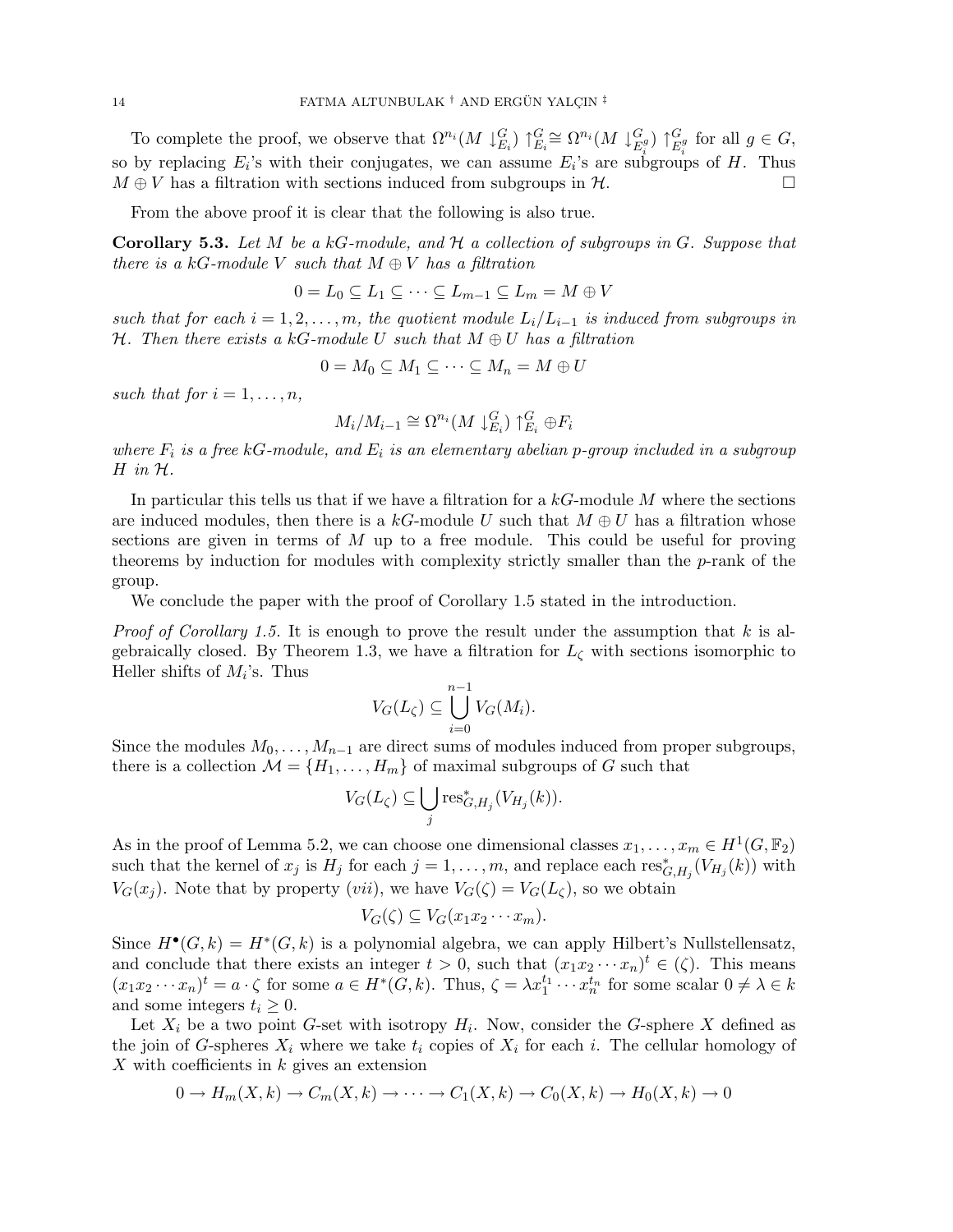To complete the proof, we observe that  $\Omega^{n_i}(M\downarrow_{E_i}^G)\uparrow_{E_i}^G\cong \Omega^{n_i}(M\downarrow_E^G)$  $_{E_i^g}^G) \restriction_E^G$  $E_i^g$  for all  $g \in G$ , so by replacing  $E_i$ 's with their conjugates, we can assume  $E_i$ 's are subgroups of H. Thus  $M \oplus V$  has a filtration with sections induced from subgroups in H.

From the above proof it is clear that the following is also true.

**Corollary 5.3.** Let M be a kG-module, and  $H$  a collection of subgroups in  $G$ . Suppose that there is a kG-module V such that  $M \oplus V$  has a filtration

$$
0 = L_0 \subseteq L_1 \subseteq \cdots \subseteq L_{m-1} \subseteq L_m = M \oplus V
$$

such that for each  $i = 1, 2, \ldots, m$ , the quotient module  $L_i/L_{i-1}$  is induced from subgroups in H. Then there exists a kG-module U such that  $M \oplus U$  has a filtration

$$
0 = M_0 \subseteq M_1 \subseteq \cdots \subseteq M_n = M \oplus U
$$

such that for  $i = 1, \ldots, n$ ,

$$
M_i/M_{i-1} \cong \Omega^{n_i}(M \downarrow_{E_i}^G) \uparrow_{E_i}^G \oplus F_i
$$

where  $F_i$  is a free kG-module, and  $E_i$  is an elementary abelian p-group included in a subgroup  $H$  in  $H$ .

In particular this tells us that if we have a filtration for a  $kG$ -module M where the sections are induced modules, then there is a kG-module U such that  $M \oplus U$  has a filtration whose sections are given in terms of  $M$  up to a free module. This could be useful for proving theorems by induction for modules with complexity strictly smaller than the p-rank of the group.

We conclude the paper with the proof of Corollary 1.5 stated in the introduction.

*Proof of Corollary 1.5.* It is enough to prove the result under the assumption that  $k$  is algebraically closed. By Theorem 1.3, we have a filtration for  $L<sub>c</sub>$  with sections isomorphic to Heller shifts of  $M_i$ 's. Thus

$$
V_G(L_\zeta) \subseteq \bigcup_{i=0}^{n-1} V_G(M_i).
$$

Since the modules  $M_0, \ldots, M_{n-1}$  are direct sums of modules induced from proper subgroups, there is a collection  $\mathcal{M} = \{H_1, \ldots, H_m\}$  of maximal subgroups of G such that

$$
V_G(L_{\zeta}) \subseteq \bigcup_j \text{res}^*_{G,H_j}(V_{H_j}(k)).
$$

As in the proof of Lemma 5.2, we can choose one dimensional classes  $x_1, \ldots, x_m \in H^1(G, \mathbb{F}_2)$ such that the kernel of  $x_j$  is  $H_j$  for each  $j = 1, \ldots, m$ , and replace each  $res_{G,H_j}^*(V_{H_j}(k))$  with  $V_G(x_i)$ . Note that by property (vii), we have  $V_G(\zeta) = V_G(L_\zeta)$ , so we obtain

$$
V_G(\zeta) \subseteq V_G(x_1 x_2 \cdots x_m).
$$

Since  $H^{\bullet}(G,k) = H^*(G,k)$  is a polynomial algebra, we can apply Hilbert's Nullstellensatz, and conclude that there exists an integer  $t > 0$ , such that  $(x_1 x_2 \cdots x_n)^t \in (\zeta)$ . This means  $(x_1x_2\cdots x_n)^t = a \cdot \zeta$  for some  $a \in H^*(G, k)$ . Thus,  $\zeta = \lambda x_1^{t_1} \cdots x_n^{t_n}$  for some scalar  $0 \neq \lambda \in k$ and some integers  $t_i \geq 0$ .

Let  $X_i$  be a two point G-set with isotropy  $H_i$ . Now, consider the G-sphere X defined as the join of G-spheres  $X_i$  where we take  $t_i$  copies of  $X_i$  for each i. The cellular homology of X with coefficients in  $k$  gives an extension

$$
0 \to H_m(X,k) \to C_m(X,k) \to \cdots \to C_1(X,k) \to C_0(X,k) \to H_0(X,k) \to 0
$$